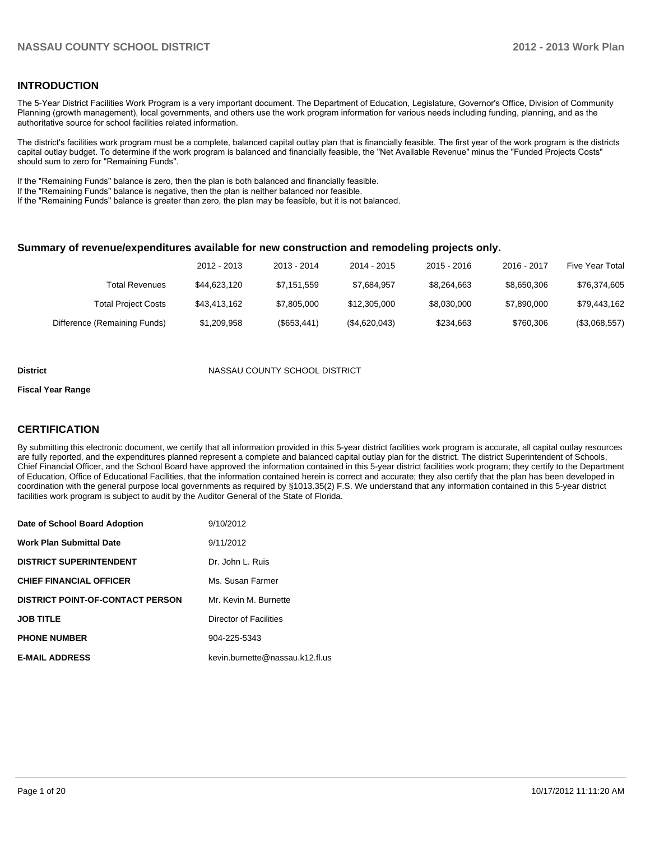### **INTRODUCTION**

The 5-Year District Facilities Work Program is a very important document. The Department of Education, Legislature, Governor's Office, Division of Community Planning (growth management), local governments, and others use the work program information for various needs including funding, planning, and as the authoritative source for school facilities related information.

The district's facilities work program must be a complete, balanced capital outlay plan that is financially feasible. The first year of the work program is the districts capital outlay budget. To determine if the work program is balanced and financially feasible, the "Net Available Revenue" minus the "Funded Projects Costs" should sum to zero for "Remaining Funds".

If the "Remaining Funds" balance is zero, then the plan is both balanced and financially feasible.

If the "Remaining Funds" balance is negative, then the plan is neither balanced nor feasible.

If the "Remaining Funds" balance is greater than zero, the plan may be feasible, but it is not balanced.

### **Summary of revenue/expenditures available for new construction and remodeling projects only.**

|                              | 2012 - 2013  | 2013 - 2014 | 2014 - 2015   | $2015 - 2016$ | 2016 - 2017 | Five Year Total |
|------------------------------|--------------|-------------|---------------|---------------|-------------|-----------------|
| <b>Total Revenues</b>        | \$44,623,120 | \$7,151,559 | \$7.684.957   | \$8,264,663   | \$8.650.306 | \$76,374,605    |
| <b>Total Project Costs</b>   | \$43,413,162 | \$7,805,000 | \$12,305,000  | \$8.030.000   | \$7.890.000 | \$79,443,162    |
| Difference (Remaining Funds) | \$1,209,958  | (\$653,441) | (\$4,620,043) | \$234,663     | \$760.306   | (\$3,068,557)   |

#### **District COUNTY SCHOOL DISTRICT**

#### **Fiscal Year Range**

### **CERTIFICATION**

By submitting this electronic document, we certify that all information provided in this 5-year district facilities work program is accurate, all capital outlay resources are fully reported, and the expenditures planned represent a complete and balanced capital outlay plan for the district. The district Superintendent of Schools, Chief Financial Officer, and the School Board have approved the information contained in this 5-year district facilities work program; they certify to the Department of Education, Office of Educational Facilities, that the information contained herein is correct and accurate; they also certify that the plan has been developed in coordination with the general purpose local governments as required by §1013.35(2) F.S. We understand that any information contained in this 5-year district facilities work program is subject to audit by the Auditor General of the State of Florida.

| Date of School Board Adoption           | 9/10/2012                       |
|-----------------------------------------|---------------------------------|
| <b>Work Plan Submittal Date</b>         | 9/11/2012                       |
| <b>DISTRICT SUPERINTENDENT</b>          | Dr. John L. Ruis                |
| <b>CHIEF FINANCIAL OFFICER</b>          | Ms. Susan Farmer                |
| <b>DISTRICT POINT-OF-CONTACT PERSON</b> | Mr. Kevin M. Burnette           |
| <b>JOB TITLE</b>                        | Director of Facilities          |
| <b>PHONE NUMBER</b>                     | 904-225-5343                    |
| <b>E-MAIL ADDRESS</b>                   | kevin.burnette@nassau.k12.fl.us |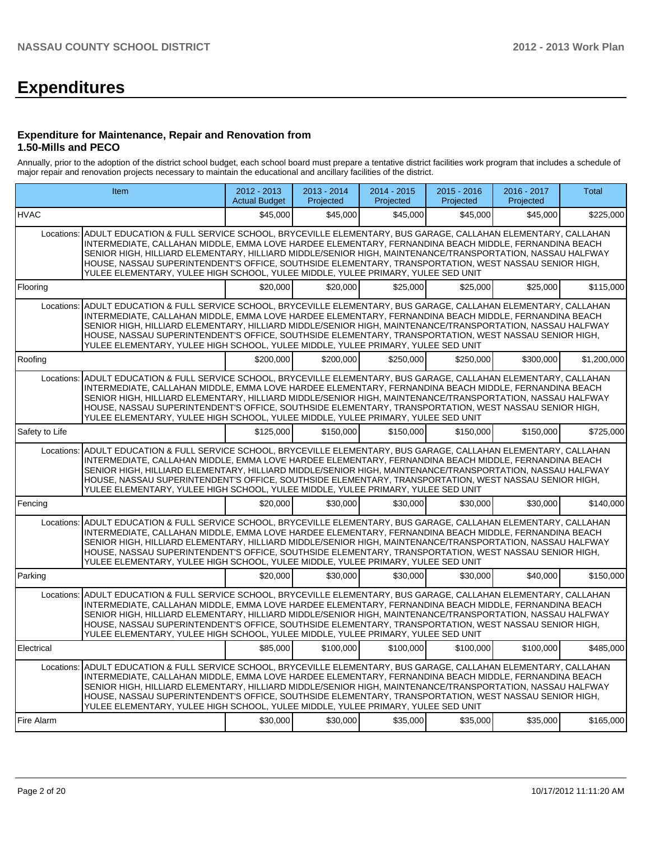# **Expenditures**

### **Expenditure for Maintenance, Repair and Renovation from 1.50-Mills and PECO**

Annually, prior to the adoption of the district school budget, each school board must prepare a tentative district facilities work program that includes a schedule of major repair and renovation projects necessary to maintain the educational and ancillary facilities of the district.

|                | Item                                                                                                                                                                                                                                                                                                                                                                                                                                                                                                                                  | 2012 - 2013<br><b>Actual Budget</b> | $2013 - 2014$<br>Projected | 2014 - 2015<br>Projected | $2015 - 2016$<br>Projected | 2016 - 2017<br>Projected | Total       |
|----------------|---------------------------------------------------------------------------------------------------------------------------------------------------------------------------------------------------------------------------------------------------------------------------------------------------------------------------------------------------------------------------------------------------------------------------------------------------------------------------------------------------------------------------------------|-------------------------------------|----------------------------|--------------------------|----------------------------|--------------------------|-------------|
| <b>HVAC</b>    |                                                                                                                                                                                                                                                                                                                                                                                                                                                                                                                                       | \$45,000                            | \$45,000                   | \$45,000                 | \$45,000                   | \$45,000                 | \$225,000   |
| Locations:     | ADULT EDUCATION & FULL SERVICE SCHOOL, BRYCEVILLE ELEMENTARY, BUS GARAGE, CALLAHAN ELEMENTARY, CALLAHAN<br>INTERMEDIATE, CALLAHAN MIDDLE, EMMA LOVE HARDEE ELEMENTARY, FERNANDINA BEACH MIDDLE, FERNANDINA BEACH<br>SENIOR HIGH, HILLIARD ELEMENTARY, HILLIARD MIDDLE/SENIOR HIGH, MAINTENANCE/TRANSPORTATION, NASSAU HALFWAY<br>HOUSE, NASSAU SUPERINTENDENT'S OFFICE, SOUTHSIDE ELEMENTARY, TRANSPORTATION, WEST NASSAU SENIOR HIGH,<br>YULEE ELEMENTARY, YULEE HIGH SCHOOL, YULEE MIDDLE, YULEE PRIMARY, YULEE SED UNIT            |                                     |                            |                          |                            |                          |             |
| Flooring       |                                                                                                                                                                                                                                                                                                                                                                                                                                                                                                                                       | \$20,000                            | \$20,000                   | \$25,000                 | \$25,000                   | \$25,000                 | \$115,000   |
| Locations:     | ADULT EDUCATION & FULL SERVICE SCHOOL, BRYCEVILLE ELEMENTARY, BUS GARAGE, CALLAHAN ELEMENTARY, CALLAHAN<br>INTERMEDIATE, CALLAHAN MIDDLE, EMMA LOVE HARDEE ELEMENTARY, FERNANDINA BEACH MIDDLE, FERNANDINA BEACH<br>SENIOR HIGH, HILLIARD ELEMENTARY, HILLIARD MIDDLE/SENIOR HIGH, MAINTENANCE/TRANSPORTATION, NASSAU HALFWAY<br>HOUSE, NASSAU SUPERINTENDENT'S OFFICE, SOUTHSIDE ELEMENTARY, TRANSPORTATION, WEST NASSAU SENIOR HIGH,<br>YULEE ELEMENTARY, YULEE HIGH SCHOOL, YULEE MIDDLE, YULEE PRIMARY, YULEE SED UNIT            |                                     |                            |                          |                            |                          |             |
| Roofing        |                                                                                                                                                                                                                                                                                                                                                                                                                                                                                                                                       | \$200,000                           | \$200,000                  | \$250,000                | \$250,000                  | \$300,000                | \$1,200,000 |
| Locations:     | ADULT EDUCATION & FULL SERVICE SCHOOL, BRYCEVILLE ELEMENTARY, BUS GARAGE, CALLAHAN ELEMENTARY, CALLAHAN<br>INTERMEDIATE, CALLAHAN MIDDLE, EMMA LOVE HARDEE ELEMENTARY, FERNANDINA BEACH MIDDLE, FERNANDINA BEACH<br>SENIOR HIGH. HILLIARD ELEMENTARY. HILLIARD MIDDLE/SENIOR HIGH. MAINTENANCE/TRANSPORTATION. NASSAU HALFWAY<br>HOUSE, NASSAU SUPERINTENDENT'S OFFICE, SOUTHSIDE ELEMENTARY, TRANSPORTATION, WEST NASSAU SENIOR HIGH,<br>YULEE ELEMENTARY, YULEE HIGH SCHOOL, YULEE MIDDLE, YULEE PRIMARY, YULEE SED UNIT            |                                     |                            |                          |                            |                          |             |
| Safety to Life |                                                                                                                                                                                                                                                                                                                                                                                                                                                                                                                                       | \$125,000                           | \$150,000                  | \$150,000                | \$150,000                  | \$150,000                | \$725,000   |
| Locations:     | ADULT EDUCATION & FULL SERVICE SCHOOL, BRYCEVILLE ELEMENTARY, BUS GARAGE, CALLAHAN ELEMENTARY, CALLAHAN<br>INTERMEDIATE, CALLAHAN MIDDLE, EMMA LOVE HARDEE ELEMENTARY, FERNANDINA BEACH MIDDLE, FERNANDINA BEACH<br>SENIOR HIGH, HILLIARD ELEMENTARY, HILLIARD MIDDLE/SENIOR HIGH, MAINTENANCE/TRANSPORTATION, NASSAU HALFWAY<br>HOUSE, NASSAU SUPERINTENDENT'S OFFICE, SOUTHSIDE ELEMENTARY, TRANSPORTATION, WEST NASSAU SENIOR HIGH,<br>YULEE ELEMENTARY, YULEE HIGH SCHOOL, YULEE MIDDLE, YULEE PRIMARY, YULEE SED UNIT            |                                     |                            |                          |                            |                          |             |
| Fencing        |                                                                                                                                                                                                                                                                                                                                                                                                                                                                                                                                       | \$20,000                            | \$30,000                   | \$30,000                 | \$30,000                   | \$30,000                 | \$140,000   |
| Locations:     | ADULT EDUCATION & FULL SERVICE SCHOOL, BRYCEVILLE ELEMENTARY, BUS GARAGE, CALLAHAN ELEMENTARY, CALLAHAN<br>INTERMEDIATE, CALLAHAN MIDDLE, EMMA LOVE HARDEE ELEMENTARY, FERNANDINA BEACH MIDDLE, FERNANDINA BEACH<br>SENIOR HIGH, HILLIARD ELEMENTARY, HILLIARD MIDDLE/SENIOR HIGH, MAINTENANCE/TRANSPORTATION, NASSAU HALFWAY<br>HOUSE, NASSAU SUPERINTENDENT'S OFFICE, SOUTHSIDE ELEMENTARY, TRANSPORTATION, WEST NASSAU SENIOR HIGH,<br>YULEE ELEMENTARY, YULEE HIGH SCHOOL, YULEE MIDDLE, YULEE PRIMARY, YULEE SED UNIT            |                                     |                            |                          |                            |                          |             |
| Parking        |                                                                                                                                                                                                                                                                                                                                                                                                                                                                                                                                       | \$20,000                            | \$30,000                   | \$30,000                 | \$30,000                   | \$40,000                 | \$150,000   |
| Locations:     | ADULT EDUCATION & FULL SERVICE SCHOOL. BRYCEVILLE ELEMENTARY. BUS GARAGE. CALLAHAN ELEMENTARY. CALLAHAN<br>INTERMEDIATE, CALLAHAN MIDDLE, EMMA LOVE HARDEE ELEMENTARY, FERNANDINA BEACH MIDDLE, FERNANDINA BEACH<br>SENIOR HIGH, HILLIARD ELEMENTARY, HILLIARD MIDDLE/SENIOR HIGH, MAINTENANCE/TRANSPORTATION, NASSAU HALFWAY<br>HOUSE, NASSAU SUPERINTENDENT'S OFFICE, SOUTHSIDE ELEMENTARY, TRANSPORTATION, WEST NASSAU SENIOR HIGH,<br>YULEE ELEMENTARY, YULEE HIGH SCHOOL, YULEE MIDDLE, YULEE PRIMARY, YULEE SED UNIT            |                                     |                            |                          |                            |                          |             |
| Electrical     |                                                                                                                                                                                                                                                                                                                                                                                                                                                                                                                                       | \$85,000                            | \$100,000                  | \$100,000                | \$100,000                  | \$100,000                | \$485,000   |
|                | Locations: ADULT EDUCATION & FULL SERVICE SCHOOL, BRYCEVILLE ELEMENTARY, BUS GARAGE, CALLAHAN ELEMENTARY, CALLAHAN<br>INTERMEDIATE, CALLAHAN MIDDLE, EMMA LOVE HARDEE ELEMENTARY, FERNANDINA BEACH MIDDLE, FERNANDINA BEACH<br>SENIOR HIGH, HILLIARD ELEMENTARY, HILLIARD MIDDLE/SENIOR HIGH, MAINTENANCE/TRANSPORTATION, NASSAU HALFWAY<br>HOUSE, NASSAU SUPERINTENDENT'S OFFICE, SOUTHSIDE ELEMENTARY, TRANSPORTATION, WEST NASSAU SENIOR HIGH,<br>YULEE ELEMENTARY, YULEE HIGH SCHOOL, YULEE MIDDLE, YULEE PRIMARY, YULEE SED UNIT |                                     |                            |                          |                            |                          |             |
| Fire Alarm     |                                                                                                                                                                                                                                                                                                                                                                                                                                                                                                                                       | \$30,000                            | \$30,000                   | \$35,000                 | \$35,000                   | \$35,000                 | \$165,000   |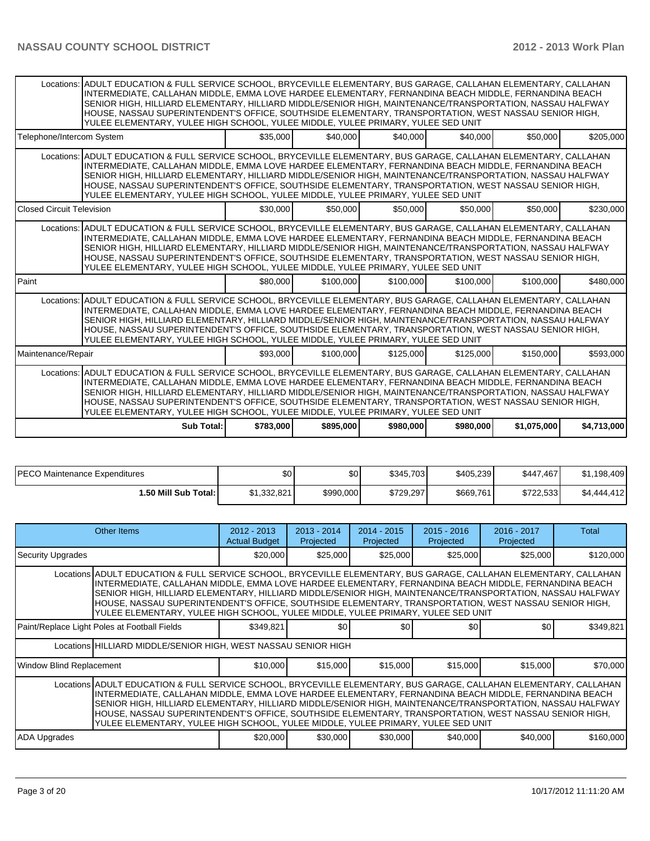|                                  | Locations: ADULT EDUCATION & FULL SERVICE SCHOOL, BRYCEVILLE ELEMENTARY, BUS GARAGE, CALLAHAN ELEMENTARY, CALLAHAN<br>INTERMEDIATE, CALLAHAN MIDDLE, EMMA LOVE HARDEE ELEMENTARY, FERNANDINA BEACH MIDDLE, FERNANDINA BEACH<br>SENIOR HIGH, HILLIARD ELEMENTARY, HILLIARD MIDDLE/SENIOR HIGH, MAINTENANCE/TRANSPORTATION, NASSAU HALFWAY<br>HOUSE, NASSAU SUPERINTENDENT'S OFFICE, SOUTHSIDE ELEMENTARY, TRANSPORTATION, WEST NASSAU SENIOR HIGH,<br>YULEE ELEMENTARY, YULEE HIGH SCHOOL, YULEE MIDDLE, YULEE PRIMARY, YULEE SED UNIT |           |           |           |           |             |             |  |  |  |  |  |
|----------------------------------|---------------------------------------------------------------------------------------------------------------------------------------------------------------------------------------------------------------------------------------------------------------------------------------------------------------------------------------------------------------------------------------------------------------------------------------------------------------------------------------------------------------------------------------|-----------|-----------|-----------|-----------|-------------|-------------|--|--|--|--|--|
| Telephone/Intercom System        |                                                                                                                                                                                                                                                                                                                                                                                                                                                                                                                                       | \$35,000  | \$40,000  | \$40,000  | \$40,000  | \$50,000    | \$205,000   |  |  |  |  |  |
|                                  | Locations: ADULT EDUCATION & FULL SERVICE SCHOOL, BRYCEVILLE ELEMENTARY, BUS GARAGE, CALLAHAN ELEMENTARY, CALLAHAN<br>INTERMEDIATE, CALLAHAN MIDDLE, EMMA LOVE HARDEE ELEMENTARY, FERNANDINA BEACH MIDDLE, FERNANDINA BEACH<br>SENIOR HIGH, HILLIARD ELEMENTARY, HILLIARD MIDDLE/SENIOR HIGH, MAINTENANCE/TRANSPORTATION, NASSAU HALFWAY<br>HOUSE, NASSAU SUPERINTENDENT'S OFFICE, SOUTHSIDE ELEMENTARY, TRANSPORTATION, WEST NASSAU SENIOR HIGH,<br>YULEE ELEMENTARY, YULEE HIGH SCHOOL, YULEE MIDDLE, YULEE PRIMARY, YULEE SED UNIT |           |           |           |           |             |             |  |  |  |  |  |
| <b>Closed Circuit Television</b> |                                                                                                                                                                                                                                                                                                                                                                                                                                                                                                                                       | \$30,000  | \$50,000  | \$50,000  | \$50,000  | \$50,000    | \$230,000   |  |  |  |  |  |
|                                  | Locations: ADULT EDUCATION & FULL SERVICE SCHOOL. BRYCEVILLE ELEMENTARY. BUS GARAGE. CALLAHAN ELEMENTARY. CALLAHAN<br>INTERMEDIATE, CALLAHAN MIDDLE, EMMA LOVE HARDEE ELEMENTARY, FERNANDINA BEACH MIDDLE, FERNANDINA BEACH<br>SENIOR HIGH, HILLIARD ELEMENTARY, HILLIARD MIDDLE/SENIOR HIGH, MAINTENANCE/TRANSPORTATION, NASSAU HALFWAY<br>HOUSE, NASSAU SUPERINTENDENT'S OFFICE, SOUTHSIDE ELEMENTARY, TRANSPORTATION, WEST NASSAU SENIOR HIGH,<br>YULEE ELEMENTARY, YULEE HIGH SCHOOL, YULEE MIDDLE, YULEE PRIMARY, YULEE SED UNIT |           |           |           |           |             |             |  |  |  |  |  |
| Paint                            |                                                                                                                                                                                                                                                                                                                                                                                                                                                                                                                                       | \$80,000  | \$100,000 | \$100,000 | \$100,000 | \$100,000   | \$480,000   |  |  |  |  |  |
|                                  | Locations: ADULT EDUCATION & FULL SERVICE SCHOOL, BRYCEVILLE ELEMENTARY, BUS GARAGE, CALLAHAN ELEMENTARY, CALLAHAN<br>INTERMEDIATE, CALLAHAN MIDDLE, EMMA LOVE HARDEE ELEMENTARY, FERNANDINA BEACH MIDDLE, FERNANDINA BEACH<br>SENIOR HIGH, HILLIARD ELEMENTARY, HILLIARD MIDDLE/SENIOR HIGH, MAINTENANCE/TRANSPORTATION, NASSAU HALFWAY<br>HOUSE. NASSAU SUPERINTENDENT'S OFFICE. SOUTHSIDE ELEMENTARY. TRANSPORTATION. WEST NASSAU SENIOR HIGH.<br>YULEE ELEMENTARY, YULEE HIGH SCHOOL, YULEE MIDDLE, YULEE PRIMARY, YULEE SED UNIT |           |           |           |           |             |             |  |  |  |  |  |
| Maintenance/Repair               |                                                                                                                                                                                                                                                                                                                                                                                                                                                                                                                                       | \$93,000  | \$100,000 | \$125,000 | \$125,000 | \$150,000   | \$593,000   |  |  |  |  |  |
|                                  | Locations: ADULT EDUCATION & FULL SERVICE SCHOOL, BRYCEVILLE ELEMENTARY, BUS GARAGE, CALLAHAN ELEMENTARY, CALLAHAN<br>INTERMEDIATE, CALLAHAN MIDDLE, EMMA LOVE HARDEE ELEMENTARY, FERNANDINA BEACH MIDDLE, FERNANDINA BEACH<br>SENIOR HIGH, HILLIARD ELEMENTARY, HILLIARD MIDDLE/SENIOR HIGH, MAINTENANCE/TRANSPORTATION, NASSAU HALFWAY<br>HOUSE, NASSAU SUPERINTENDENT'S OFFICE, SOUTHSIDE ELEMENTARY, TRANSPORTATION, WEST NASSAU SENIOR HIGH,<br>YULEE ELEMENTARY. YULEE HIGH SCHOOL. YULEE MIDDLE. YULEE PRIMARY. YULEE SED UNIT |           |           |           |           |             |             |  |  |  |  |  |
|                                  | Sub Total:                                                                                                                                                                                                                                                                                                                                                                                                                                                                                                                            | \$783,000 | \$895,000 | \$980,000 | \$980,000 | \$1,075,000 | \$4,713,000 |  |  |  |  |  |

| IPECO Maintenance Expenditures | \$0         | \$0       | \$345.703 | \$405,239 | \$447.467 | \$1,198,409 |
|--------------------------------|-------------|-----------|-----------|-----------|-----------|-------------|
| i.50 Mill Sub Total: I         | \$1.332.821 | \$990,000 | \$729.297 | \$669,761 | \$722.533 | \$4,444,412 |

|                                                                                                                                                                                                                                                                                                                                                                                                                                                                                                                                      | Other Items                                                                                                                                                                                                                                                                                                                                                                                                                                                                                                                          | $2012 - 2013$<br><b>Actual Budget</b> | $2013 - 2014$<br>Projected | $2014 - 2015$<br>Projected | $2015 - 2016$<br>Projected | $2016 - 2017$<br>Projected | Total     |  |  |  |
|--------------------------------------------------------------------------------------------------------------------------------------------------------------------------------------------------------------------------------------------------------------------------------------------------------------------------------------------------------------------------------------------------------------------------------------------------------------------------------------------------------------------------------------|--------------------------------------------------------------------------------------------------------------------------------------------------------------------------------------------------------------------------------------------------------------------------------------------------------------------------------------------------------------------------------------------------------------------------------------------------------------------------------------------------------------------------------------|---------------------------------------|----------------------------|----------------------------|----------------------------|----------------------------|-----------|--|--|--|
| <b>Security Upgrades</b>                                                                                                                                                                                                                                                                                                                                                                                                                                                                                                             |                                                                                                                                                                                                                                                                                                                                                                                                                                                                                                                                      | \$20,000                              | \$25,000                   | \$25,000                   | \$25,000                   | \$25,000                   | \$120,000 |  |  |  |
|                                                                                                                                                                                                                                                                                                                                                                                                                                                                                                                                      | Locations ADULT EDUCATION & FULL SERVICE SCHOOL, BRYCEVILLE ELEMENTARY, BUS GARAGE, CALLAHAN ELEMENTARY, CALLAHAN<br>INTERMEDIATE, CALLAHAN MIDDLE, EMMA LOVE HARDEE ELEMENTARY, FERNANDINA BEACH MIDDLE, FERNANDINA BEACH<br>SENIOR HIGH, HILLIARD ELEMENTARY, HILLIARD MIDDLE/SENIOR HIGH, MAINTENANCE/TRANSPORTATION, NASSAU HALFWAY<br>HOUSE, NASSAU SUPERINTENDENT'S OFFICE, SOUTHSIDE ELEMENTARY, TRANSPORTATION, WEST NASSAU SENIOR HIGH,<br>YULEE ELEMENTARY, YULEE HIGH SCHOOL, YULEE MIDDLE, YULEE PRIMARY, YULEE SED UNIT |                                       |                            |                            |                            |                            |           |  |  |  |
|                                                                                                                                                                                                                                                                                                                                                                                                                                                                                                                                      | Paint/Replace Light Poles at Football Fields                                                                                                                                                                                                                                                                                                                                                                                                                                                                                         | \$349,821                             | \$0                        | \$0                        | \$0                        | \$0                        | \$349,821 |  |  |  |
|                                                                                                                                                                                                                                                                                                                                                                                                                                                                                                                                      | Locations HILLIARD MIDDLE/SENIOR HIGH, WEST NASSAU SENIOR HIGH                                                                                                                                                                                                                                                                                                                                                                                                                                                                       |                                       |                            |                            |                            |                            |           |  |  |  |
| Window Blind Replacement                                                                                                                                                                                                                                                                                                                                                                                                                                                                                                             |                                                                                                                                                                                                                                                                                                                                                                                                                                                                                                                                      | \$10,000                              | \$15,000                   | \$15,000                   | \$15,000                   | \$15,000                   | \$70,000  |  |  |  |
| Locations ADULT EDUCATION & FULL SERVICE SCHOOL, BRYCEVILLE ELEMENTARY, BUS GARAGE, CALLAHAN ELEMENTARY, CALLAHAN<br>INTERMEDIATE, CALLAHAN MIDDLE, EMMA LOVE HARDEE ELEMENTARY, FERNANDINA BEACH MIDDLE, FERNANDINA BEACH<br>SENIOR HIGH, HILLIARD ELEMENTARY, HILLIARD MIDDLE/SENIOR HIGH, MAINTENANCE/TRANSPORTATION, NASSAU HALFWAY<br>HOUSE, NASSAU SUPERINTENDENT'S OFFICE, SOUTHSIDE ELEMENTARY, TRANSPORTATION, WEST NASSAU SENIOR HIGH,<br>YULEE ELEMENTARY, YULEE HIGH SCHOOL, YULEE MIDDLE, YULEE PRIMARY, YULEE SED UNIT |                                                                                                                                                                                                                                                                                                                                                                                                                                                                                                                                      |                                       |                            |                            |                            |                            |           |  |  |  |
| <b>ADA Upgrades</b>                                                                                                                                                                                                                                                                                                                                                                                                                                                                                                                  |                                                                                                                                                                                                                                                                                                                                                                                                                                                                                                                                      | \$20,000                              | \$30,000                   | \$30,000                   | \$40,000                   | \$40,000                   | \$160,000 |  |  |  |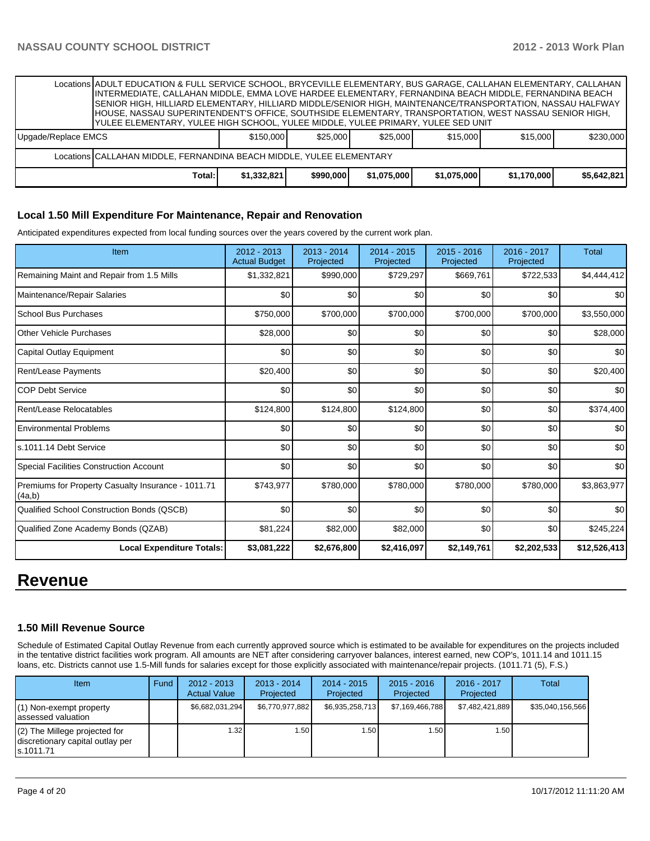Locations ADULT EDUCATION & FULL SERVICE SCHOOL, BRYCEVILLE ELEMENTARY, BUS GARAGE, CALLAHAN ELEMENTARY, CALLAHAN INTERMEDIATE, CALLAHAN MIDDLE, EMMA LOVE HARDEE ELEMENTARY, FERNANDINA BEACH MIDDLE, FERNANDINA BEACH SENIOR HIGH, HILLIARD ELEMENTARY, HILLIARD MIDDLE/SENIOR HIGH, MAINTENANCE/TRANSPORTATION, NASSAU HALFWAY HOUSE, NASSAU SUPERINTENDENT'S OFFICE, SOUTHSIDE ELEMENTARY, TRANSPORTATION, WEST NASSAU SENIOR HIGH, YULEE ELEMENTARY, YULEE HIGH SCHOOL, YULEE MIDDLE, YULEE PRIMARY, YULEE SED UNIT

|  | Locations CALLAHAN MIDDLE. FERNANDINA BEACH MIDDLE. YULEE ELEMENTARY |             |           |             |             |             |             |  |  |  |
|--|----------------------------------------------------------------------|-------------|-----------|-------------|-------------|-------------|-------------|--|--|--|
|  |                                                                      |             |           |             |             |             |             |  |  |  |
|  | Total:                                                               | \$1,332,821 | \$990,000 | \$1.075.000 | \$1.075.000 | \$1.170.000 | \$5.642.821 |  |  |  |

### **Local 1.50 Mill Expenditure For Maintenance, Repair and Renovation**

Anticipated expenditures expected from local funding sources over the years covered by the current work plan.

| Item                                                         | 2012 - 2013<br><b>Actual Budget</b> | $2013 - 2014$<br>Projected | 2014 - 2015<br>Projected | $2015 - 2016$<br>Projected | 2016 - 2017<br>Projected | <b>Total</b> |
|--------------------------------------------------------------|-------------------------------------|----------------------------|--------------------------|----------------------------|--------------------------|--------------|
| Remaining Maint and Repair from 1.5 Mills                    | \$1,332,821                         | \$990,000                  | \$729,297                | \$669,761                  | \$722,533                | \$4,444,412  |
| Maintenance/Repair Salaries                                  | \$0                                 | \$0                        | \$0                      | \$0                        | \$0                      | \$0          |
| <b>School Bus Purchases</b>                                  | \$750,000                           | \$700,000                  | \$700,000                | \$700,000                  | \$700,000                | \$3,550,000  |
| <b>Other Vehicle Purchases</b>                               | \$28,000                            | \$0                        | \$0                      | \$0                        | \$0                      | \$28,000     |
| <b>Capital Outlay Equipment</b>                              | \$0                                 | \$0                        | \$0                      | \$0                        | \$0                      | \$0          |
| <b>Rent/Lease Payments</b>                                   | \$20,400                            | \$0                        | \$0                      | \$0                        | \$0                      | \$20,400     |
| <b>COP Debt Service</b>                                      | \$0                                 | \$0                        | \$0                      | \$0                        | \$0                      | \$0          |
| Rent/Lease Relocatables                                      | \$124,800                           | \$124,800                  | \$124,800                | \$0                        | \$0                      | \$374,400    |
| <b>Environmental Problems</b>                                | \$0                                 | \$0                        | \$0                      | \$0                        | \$0                      | \$0          |
| s.1011.14 Debt Service                                       | \$0                                 | \$0                        | \$0                      | \$0                        | \$0                      | \$0          |
| <b>Special Facilities Construction Account</b>               | \$0                                 | \$0                        | \$0                      | \$0                        | \$0                      | \$0          |
| Premiums for Property Casualty Insurance - 1011.71<br>(4a,b) | \$743,977                           | \$780,000                  | \$780,000                | \$780,000                  | \$780,000                | \$3,863,977  |
| Qualified School Construction Bonds (QSCB)                   | \$0                                 | \$0                        | \$0                      | \$0                        | \$0                      | \$0          |
| Qualified Zone Academy Bonds (QZAB)                          | \$81,224                            | \$82,000                   | \$82,000                 | \$0                        | \$0                      | \$245,224    |
| <b>Local Expenditure Totals:</b>                             | \$3,081,222                         | \$2,676,800                | \$2,416,097              | \$2,149,761                | \$2,202,533              | \$12,526,413 |

# **Revenue**

### **1.50 Mill Revenue Source**

Schedule of Estimated Capital Outlay Revenue from each currently approved source which is estimated to be available for expenditures on the projects included in the tentative district facilities work program. All amounts are NET after considering carryover balances, interest earned, new COP's, 1011.14 and 1011.15 loans, etc. Districts cannot use 1.5-Mill funds for salaries except for those explicitly associated with maintenance/repair projects. (1011.71 (5), F.S.)

| <b>Item</b>                                                                       | Fund | $2012 - 2013$<br><b>Actual Value</b> | $2013 - 2014$<br>Projected | $2014 - 2015$<br>Projected | $2015 - 2016$<br>Projected | 2016 - 2017<br>Projected | Total            |
|-----------------------------------------------------------------------------------|------|--------------------------------------|----------------------------|----------------------------|----------------------------|--------------------------|------------------|
| $(1)$ Non-exempt property<br>lassessed valuation                                  |      | \$6,682,031,294                      | \$6,770,977,882            | \$6.935.258.713            | \$7,169,466,788            | \$7,482,421,889          | \$35,040,156,566 |
| $(2)$ The Millege projected for<br>discretionary capital outlay per<br>ls.1011.71 |      | 1.32 l                               | l.50 l                     | 1.50                       | 1.50 <sub>l</sub>          | 1.50 l                   |                  |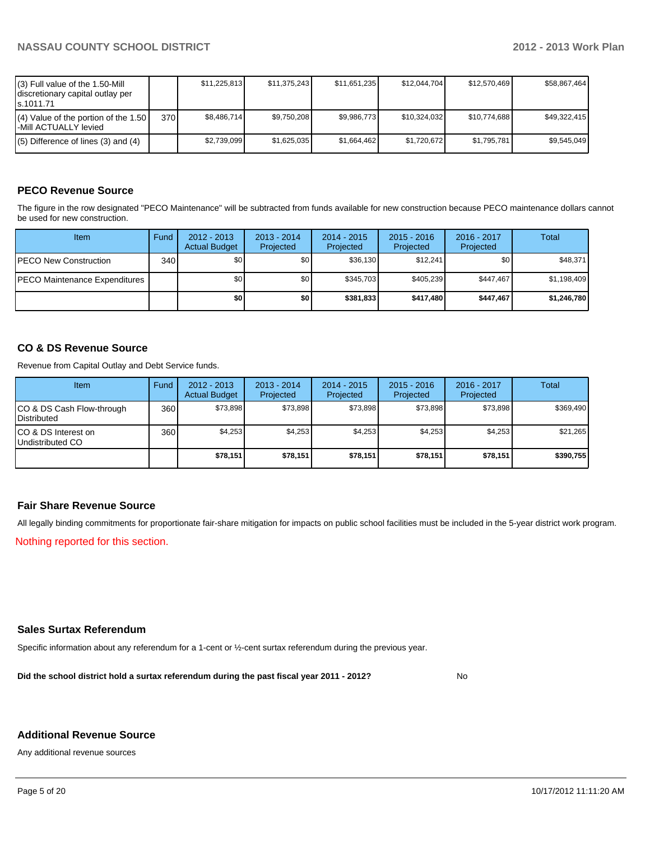| (3) Full value of the 1.50-Mill<br>discretionary capital outlay per<br>ls.1011.71 |       | \$11.225.813 | \$11,375,243 | \$11,651,235 | \$12.044.704 | \$12,570,469 | \$58,867,464 |
|-----------------------------------------------------------------------------------|-------|--------------|--------------|--------------|--------------|--------------|--------------|
| $(4)$ Value of the portion of the 1.50<br>-Mill ACTUALLY levied                   | 370 I | \$8.486.714  | \$9,750,208  | \$9,986,773  | \$10,324,032 | \$10,774,688 | \$49,322,415 |
| $(5)$ Difference of lines (3) and (4)                                             |       | \$2,739,099  | \$1,625,035  | \$1.664.462  | \$1,720,672  | \$1,795,781  | \$9,545,049  |

# **PECO Revenue Source**

The figure in the row designated "PECO Maintenance" will be subtracted from funds available for new construction because PECO maintenance dollars cannot be used for new construction.

| Item                                  | Fund | $2012 - 2013$<br><b>Actual Budget</b> | $2013 - 2014$<br>Projected | $2014 - 2015$<br>Projected | $2015 - 2016$<br>Projected | 2016 - 2017<br>Projected | Total       |
|---------------------------------------|------|---------------------------------------|----------------------------|----------------------------|----------------------------|--------------------------|-------------|
| <b>PECO New Construction</b>          | 340  | \$0                                   | \$0 <sub>1</sub>           | \$36,130                   | \$12.241                   | \$0                      | \$48,371    |
| <b>IPECO Maintenance Expenditures</b> |      | \$0                                   | \$0 <sub>1</sub>           | \$345.703                  | \$405.239                  | \$447.467                | \$1,198,409 |
|                                       |      | \$0                                   | \$0                        | \$381.833                  | \$417.480                  | \$447.467                | \$1,246,780 |

## **CO & DS Revenue Source**

Revenue from Capital Outlay and Debt Service funds.

| <b>Item</b>                                        | Fund | $2012 - 2013$<br><b>Actual Budget</b> | $2013 - 2014$<br>Projected | $2014 - 2015$<br>Projected | $2015 - 2016$<br>Projected | $2016 - 2017$<br>Projected | Total     |
|----------------------------------------------------|------|---------------------------------------|----------------------------|----------------------------|----------------------------|----------------------------|-----------|
| ICO & DS Cash Flow-through<br><b>I</b> Distributed | 360  | \$73.898                              | \$73.898                   | \$73.898                   | \$73.898                   | \$73,898                   | \$369,490 |
| ICO & DS Interest on<br>Undistributed CO           | 360  | \$4.253                               | \$4,253                    | \$4,253                    | \$4.253                    | \$4,253                    | \$21,265  |
|                                                    |      | \$78,151                              | \$78,151                   | \$78,151                   | \$78.151                   | \$78,151                   | \$390,755 |

### **Fair Share Revenue Source**

All legally binding commitments for proportionate fair-share mitigation for impacts on public school facilities must be included in the 5-year district work program.

Nothing reported for this section.

### **Sales Surtax Referendum**

Specific information about any referendum for a 1-cent or ½-cent surtax referendum during the previous year.

**Did the school district hold a surtax referendum during the past fiscal year 2011 - 2012?**

No

### **Additional Revenue Source**

Any additional revenue sources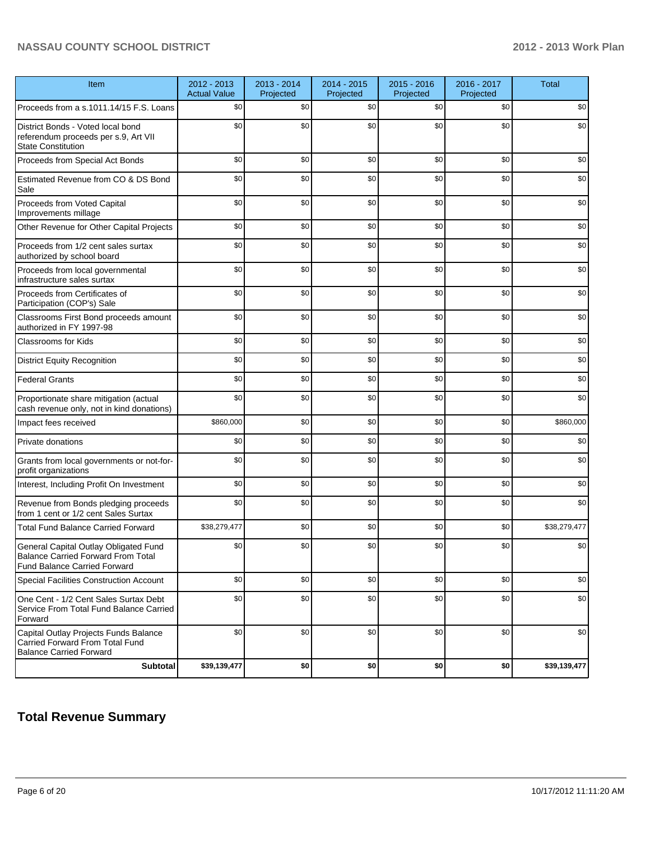| Item                                                                                                                      | 2012 - 2013<br><b>Actual Value</b> | 2013 - 2014<br>Projected | 2014 - 2015<br>Projected | 2015 - 2016<br>Projected | 2016 - 2017<br>Projected | <b>Total</b> |
|---------------------------------------------------------------------------------------------------------------------------|------------------------------------|--------------------------|--------------------------|--------------------------|--------------------------|--------------|
| Proceeds from a s.1011.14/15 F.S. Loans                                                                                   | \$0                                | \$0                      | \$0                      | \$0                      | \$0                      | \$0          |
| District Bonds - Voted local bond<br>referendum proceeds per s.9, Art VII<br><b>State Constitution</b>                    | \$0                                | \$0                      | \$0                      | \$0                      | \$0                      | \$0          |
| Proceeds from Special Act Bonds                                                                                           | \$0                                | \$0                      | \$0                      | \$0                      | \$0                      | \$0          |
| Estimated Revenue from CO & DS Bond<br>Sale                                                                               | \$0                                | \$0                      | \$0                      | \$0                      | \$0                      | \$0          |
| Proceeds from Voted Capital<br>Improvements millage                                                                       | \$0                                | \$0                      | \$0                      | \$0                      | \$0                      | \$0          |
| Other Revenue for Other Capital Projects                                                                                  | \$0                                | \$0                      | \$0                      | \$0                      | \$0                      | \$0          |
| Proceeds from 1/2 cent sales surtax<br>authorized by school board                                                         | \$0                                | \$0                      | \$0                      | \$0                      | \$0                      | \$0          |
| Proceeds from local governmental<br>infrastructure sales surtax                                                           | \$0                                | \$0                      | \$0                      | \$0                      | \$0                      | \$0          |
| Proceeds from Certificates of<br>Participation (COP's) Sale                                                               | \$0                                | \$0                      | \$0                      | \$0                      | \$0                      | \$0          |
| Classrooms First Bond proceeds amount<br>authorized in FY 1997-98                                                         | \$0                                | \$0                      | \$0                      | \$0                      | \$0                      | \$0          |
| <b>Classrooms for Kids</b>                                                                                                | \$0                                | \$0                      | \$0                      | \$0                      | \$0                      | \$0          |
| <b>District Equity Recognition</b>                                                                                        | \$0                                | \$0                      | \$0                      | \$0                      | \$0                      | \$0          |
| <b>Federal Grants</b>                                                                                                     | \$0                                | \$0                      | \$0                      | \$0                      | \$0                      | \$0          |
| Proportionate share mitigation (actual<br>cash revenue only, not in kind donations)                                       | \$0                                | \$0                      | \$0                      | \$0                      | \$0                      | \$0          |
| Impact fees received                                                                                                      | \$860,000                          | \$0                      | \$0                      | \$0                      | \$0                      | \$860,000    |
| Private donations                                                                                                         | \$0                                | \$0                      | \$0                      | \$0                      | \$0                      | \$0          |
| Grants from local governments or not-for-<br>profit organizations                                                         | \$0                                | \$0                      | \$0                      | \$0                      | \$0                      | \$0          |
| Interest, Including Profit On Investment                                                                                  | \$0                                | \$0                      | \$0                      | \$0                      | \$0                      | \$0          |
| Revenue from Bonds pledging proceeds<br>from 1 cent or 1/2 cent Sales Surtax                                              | \$0                                | \$0                      | \$0                      | \$0                      | \$0                      | \$0          |
| <b>Total Fund Balance Carried Forward</b>                                                                                 | \$38,279,477                       | \$0                      | \$0                      | \$0                      | \$0                      | \$38,279,477 |
| General Capital Outlay Obligated Fund<br><b>Balance Carried Forward From Total</b><br><b>Fund Balance Carried Forward</b> | \$0                                | \$0                      | \$0                      | \$0                      | \$0                      | \$0          |
| Special Facilities Construction Account                                                                                   | \$0                                | \$0                      | \$0                      | \$0                      | \$0                      | \$0          |
| One Cent - 1/2 Cent Sales Surtax Debt<br>Service From Total Fund Balance Carried<br>Forward                               | \$0                                | \$0                      | \$0                      | \$0                      | \$0                      | \$0          |
| Capital Outlay Projects Funds Balance<br>Carried Forward From Total Fund<br><b>Balance Carried Forward</b>                | \$0                                | \$0                      | \$0                      | \$0                      | \$0                      | \$0          |
| <b>Subtotal</b>                                                                                                           | \$39,139,477                       | \$0                      | \$0                      | \$0                      | \$0                      | \$39,139,477 |

# **Total Revenue Summary**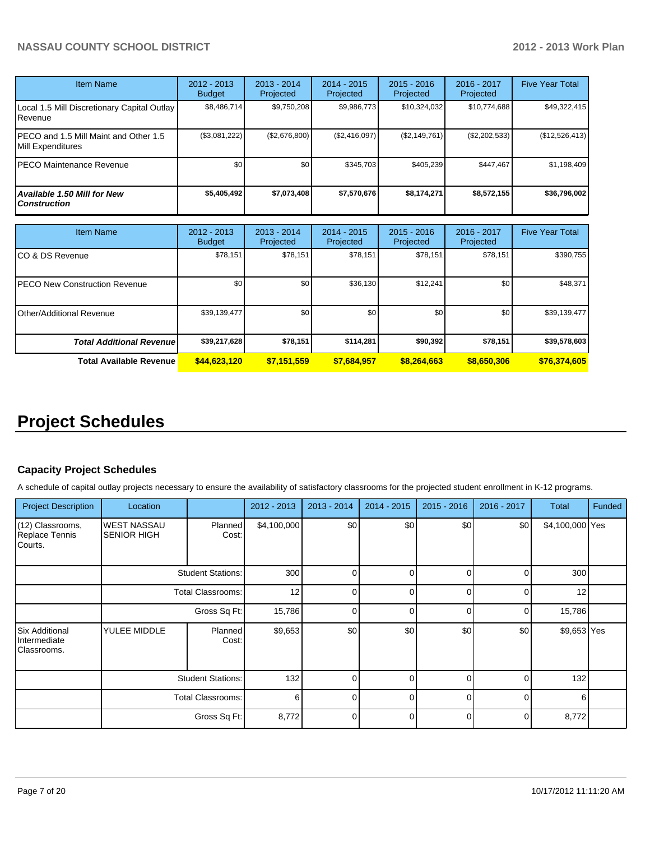| <b>Item Name</b>                                           | 2012 - 2013<br><b>Budget</b> | $2013 - 2014$<br>Projected | $2014 - 2015$<br>Projected | $2015 - 2016$<br>Projected | $2016 - 2017$<br>Projected | <b>Five Year Total</b> |
|------------------------------------------------------------|------------------------------|----------------------------|----------------------------|----------------------------|----------------------------|------------------------|
| Local 1.5 Mill Discretionary Capital Outlay<br>.Revenue    | \$8,486,714                  | \$9,750,208                | \$9,986,773                | \$10,324,032               | \$10,774,688               | \$49,322,415           |
| PECO and 1.5 Mill Maint and Other 1.5<br>Mill Expenditures | (\$3,081,222)                | (\$2,676,800)              | (\$2,416,097)              | (S2, 149, 761)             | $(\$2,202,533)$            | (\$12,526,413)         |
| PECO Maintenance Revenue                                   | \$0                          | \$0                        | \$345.703                  | \$405.239                  | \$447.467                  | \$1,198,409            |
| Available 1.50 Mill for New<br><b>Construction</b>         | \$5,405,492                  | \$7,073,408                | \$7,570,676                | \$8,174,271                | \$8,572,155                | \$36,796,002           |

| Item Name                        | $2012 - 2013$<br><b>Budget</b> | $2013 - 2014$<br>Projected | $2014 - 2015$<br>Projected | $2015 - 2016$<br>Projected | $2016 - 2017$<br>Projected | <b>Five Year Total</b> |
|----------------------------------|--------------------------------|----------------------------|----------------------------|----------------------------|----------------------------|------------------------|
| ICO & DS Revenue                 | \$78,151                       | \$78,151                   | \$78,151                   | \$78,151                   | \$78,151                   | \$390,755              |
| IPECO New Construction Revenue   | \$0                            | \$0                        | \$36,130                   | \$12,241                   | \$0                        | \$48,371               |
| IOther/Additional Revenue        | \$39,139,477                   | \$0                        | \$0                        | \$0                        | \$0                        | \$39,139,477           |
| <b>Total Additional Revenuel</b> | \$39,217,628                   | \$78,151                   | \$114,281                  | \$90,392                   | \$78,151                   | \$39,578,603           |
| <b>Total Available Revenue</b>   | \$44,623,120                   | \$7,151,559                | \$7,684,957                | \$8.264.663                | \$8,650,306                | \$76,374,605           |

# **Project Schedules**

### **Capacity Project Schedules**

A schedule of capital outlay projects necessary to ensure the availability of satisfactory classrooms for the projected student enrollment in K-12 programs.

| <b>Project Description</b>                           | Location                                 |                  | 2012 - 2013 | $2013 - 2014$ | $2014 - 2015$ | $2015 - 2016$ | 2016 - 2017 | <b>Total</b>    | <b>Funded</b> |
|------------------------------------------------------|------------------------------------------|------------------|-------------|---------------|---------------|---------------|-------------|-----------------|---------------|
| (12) Classrooms,<br>Replace Tennis<br>Courts.        | <b>WEST NASSAU</b><br><b>SENIOR HIGH</b> | Planned<br>Cost: | \$4,100,000 | \$0           | \$0           | \$0           | \$0         | \$4,100,000 Yes |               |
|                                                      | <b>Student Stations:</b>                 |                  | 300         |               |               |               |             | 300             |               |
|                                                      | <b>Total Classrooms:</b>                 |                  | 12          |               | U             | U             |             | 12              |               |
|                                                      | Gross Sq Ft:                             |                  | 15,786      | ∩             | O             | U             |             | 15,786          |               |
| <b>Six Additional</b><br>Intermediate<br>Classrooms. | YULEE MIDDLE                             | Planned<br>Cost: | \$9,653     | \$0           | \$0           | \$0           | \$0         | \$9,653 Yes     |               |
|                                                      | Student Stations:                        |                  | 132         | U             | U             | U             |             | 132             |               |
|                                                      | <b>Total Classrooms:</b>                 |                  | 6           |               | $\Omega$      | ∩             | ∩           | 6               |               |
|                                                      |                                          | Gross Sq Ft:     | 8,772       |               | $\Omega$      | n             | $\Omega$    | 8,772           |               |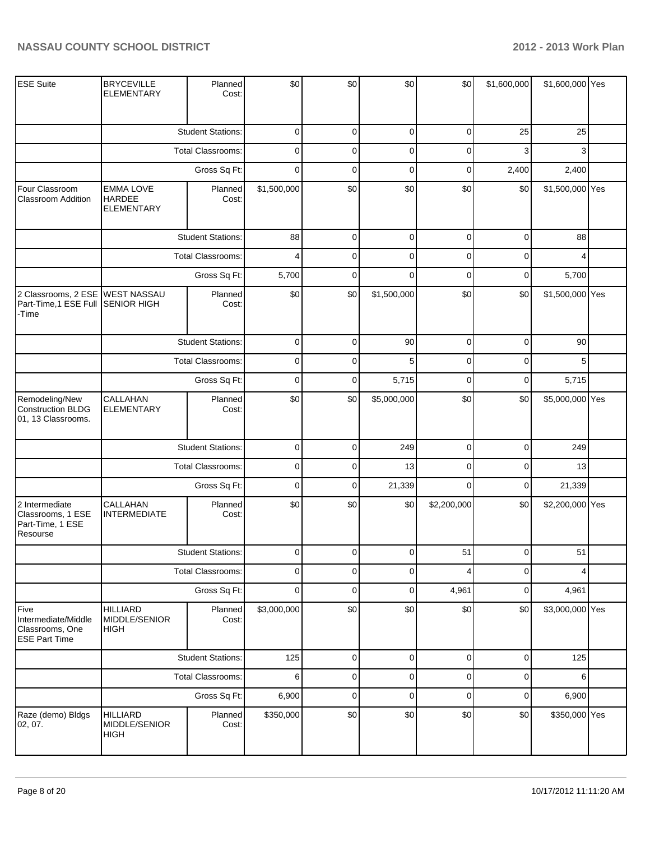| <b>ESE Suite</b>                                                             | <b>BRYCEVILLE</b><br><b>ELEMENTARY</b>                 | Planned<br>Cost:         | \$0         | \$0         | \$0         | \$0            | \$1,600,000    | \$1,600,000 Yes |  |
|------------------------------------------------------------------------------|--------------------------------------------------------|--------------------------|-------------|-------------|-------------|----------------|----------------|-----------------|--|
|                                                                              |                                                        | <b>Student Stations:</b> | $\mathbf 0$ | 0           | $\mathbf 0$ | 0              | 25             | 25              |  |
|                                                                              |                                                        | <b>Total Classrooms:</b> | $\mathbf 0$ | 0           | $\mathbf 0$ | $\Omega$       | 3              | 3               |  |
|                                                                              |                                                        | Gross Sq Ft:             | $\mathbf 0$ | $\mathbf 0$ | $\mathbf 0$ | 0              | 2,400          | 2,400           |  |
| Four Classroom<br><b>Classroom Addition</b>                                  | <b>EMMA LOVE</b><br><b>HARDEE</b><br><b>ELEMENTARY</b> | Planned<br>Cost:         | \$1,500,000 | \$0         | \$0         | \$0            | \$0            | \$1,500,000 Yes |  |
|                                                                              |                                                        | <b>Student Stations:</b> | 88          | $\mathbf 0$ | $\mathbf 0$ | $\overline{0}$ | $\overline{0}$ | 88              |  |
|                                                                              |                                                        | <b>Total Classrooms:</b> | 4           | $\mathbf 0$ | $\mathbf 0$ | $\mathbf 0$    | 0              |                 |  |
|                                                                              |                                                        | Gross Sq Ft:             | 5,700       | $\Omega$    | $\mathbf 0$ | $\mathbf 0$    | 0              | 5,700           |  |
| 2 Classrooms, 2 ESE WEST NASSAU<br>Part-Time,1 ESE Full SENIOR HIGH<br>-Time |                                                        | Planned<br>Cost:         | \$0         | \$0         | \$1,500,000 | \$0            | \$0            | \$1,500,000 Yes |  |
|                                                                              |                                                        | <b>Student Stations:</b> | 0           | 0           | 90          | 0              | 0              | 90              |  |
|                                                                              |                                                        | Total Classrooms:        | $\mathbf 0$ | 0           | 5           | 0              | 0              | 5               |  |
|                                                                              | Gross Sq Ft:                                           |                          | $\mathbf 0$ | $\mathbf 0$ | 5,715       | $\mathbf 0$    | 0              | 5,715           |  |
| Remodeling/New<br>Construction BLDG<br>01, 13 Classrooms.                    | CALLAHAN<br><b>ELEMENTARY</b>                          | Planned<br>Cost:         | \$0         | \$0         | \$5,000,000 | \$0            | \$0            | \$5,000,000 Yes |  |
|                                                                              |                                                        | <b>Student Stations:</b> | 0           | $\mathbf 0$ | 249         | $\overline{0}$ | $\overline{0}$ | 249             |  |
|                                                                              |                                                        | <b>Total Classrooms:</b> | 0           | $\mathbf 0$ | 13          | $\Omega$       | 0              | 13              |  |
|                                                                              |                                                        | Gross Sq Ft:             | $\mathbf 0$ | $\mathbf 0$ | 21,339      | $\mathbf 0$    | 0              | 21,339          |  |
| 2 Intermediate<br>Classrooms, 1 ESE<br>Part-Time, 1 ESE<br>Resourse          | CALLAHAN<br><b>INTERMEDIATE</b>                        | Planned<br>Cost:         | \$0         | \$0         | \$0         | \$2,200,000    | \$0            | \$2,200,000 Yes |  |
|                                                                              |                                                        | <b>Student Stations:</b> | $\Omega$    | $\Omega$    | $\Omega$    | 51             | $\Omega$       | 51              |  |
|                                                                              |                                                        | <b>Total Classrooms:</b> | $\mathbf 0$ | $\mathbf 0$ | $\mathbf 0$ | 4              | 0              | 4               |  |
|                                                                              |                                                        | Gross Sq Ft:             | $\mathbf 0$ | $\mathbf 0$ | $\mathbf 0$ | 4,961          | 0              | 4,961           |  |
| Five<br>Intermediate/Middle<br>Classrooms, One<br><b>ESE Part Time</b>       | <b>HILLIARD</b><br>MIDDLE/SENIOR<br><b>HIGH</b>        | Planned<br>Cost:         | \$3,000,000 | \$0         | \$0         | \$0            | \$0            | \$3,000,000 Yes |  |
|                                                                              |                                                        | <b>Student Stations:</b> | 125         | $\mathbf 0$ | $\pmb{0}$   | $\overline{0}$ | $\overline{0}$ | 125             |  |
|                                                                              |                                                        | Total Classrooms:        | 6           | $\mathbf 0$ | $\mathbf 0$ | $\mathbf 0$    | $\overline{0}$ | 6               |  |
|                                                                              |                                                        | Gross Sq Ft:             | 6,900       | $\mathbf 0$ | $\mathbf 0$ | $\mathbf 0$    | $\overline{0}$ | 6,900           |  |
| Raze (demo) Bldgs<br> 02, 07.                                                | <b>HILLIARD</b><br>MIDDLE/SENIOR<br><b>HIGH</b>        | Planned<br>Cost:         | \$350,000   | \$0         | \$0         | \$0            | \$0            | \$350,000 Yes   |  |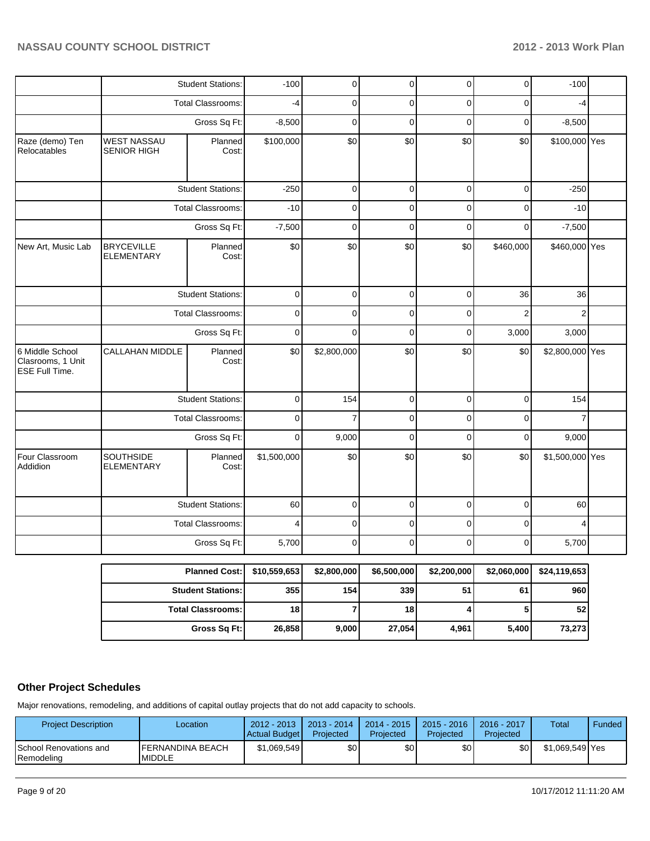| Four Classroom<br>Addidion                 | SOUTHSIDE<br><b>ELEMENTARY</b>           | Planned<br>Cost:         | \$1,500,000 | \$0            | \$0            | \$0            | \$0            | \$1,500,000 Yes |  |
|--------------------------------------------|------------------------------------------|--------------------------|-------------|----------------|----------------|----------------|----------------|-----------------|--|
|                                            |                                          |                          |             |                |                |                |                |                 |  |
|                                            |                                          | Gross Sq Ft:             | $\mathbf 0$ | 9,000          | $\mathbf 0$    | $\mathbf 0$    | $\pmb{0}$      | 9,000           |  |
|                                            |                                          | Total Classrooms:        | $\pmb{0}$   | $\overline{7}$ | $\mathbf 0$    | 0              | $\mathbf 0$    | $\overline{7}$  |  |
|                                            |                                          | <b>Student Stations:</b> | $\mathbf 0$ | 154            | $\mathbf 0$    | $\pmb{0}$      | $\pmb{0}$      | 154             |  |
| Clasrooms, 1 Unit<br><b>ESE Full Time.</b> |                                          | Cost:                    |             |                |                |                |                |                 |  |
| 6 Middle School                            | CALLAHAN MIDDLE                          | Planned                  | \$0         | \$2,800,000    | \$0            | \$0            | \$0            | \$2,800,000 Yes |  |
|                                            |                                          | Gross Sq Ft:             | $\mathbf 0$ | $\overline{0}$ | $\mathbf 0$    | 0              | 3,000          | 3,000           |  |
|                                            |                                          | <b>Total Classrooms:</b> | $\mathbf 0$ | 0              | $\mathbf 0$    | 0              | $\overline{c}$ | $\overline{c}$  |  |
|                                            |                                          | <b>Student Stations:</b> | 0           | 0              | $\overline{0}$ | $\overline{0}$ | 36             | 36              |  |
| New Art, Music Lab                         | <b>BRYCEVILLE</b><br>ELEMENTARY          | Planned<br>Cost:         | \$0         | \$0            | \$0            | \$0            | \$460,000      | \$460,000 Yes   |  |
|                                            |                                          | Gross Sq Ft:             | $-7,500$    | $\overline{0}$ | $\mathbf 0$    | $\mathbf 0$    | $\mathbf 0$    | $-7,500$        |  |
|                                            |                                          | <b>Total Classrooms:</b> | $-10$       | $\mathbf 0$    | $\pmb{0}$      | $\pmb{0}$      | 0              | $-10$           |  |
|                                            |                                          | <b>Student Stations:</b> | $-250$      | 0              | $\pmb{0}$      | $\pmb{0}$      | $\mathsf 0$    | $-250$          |  |
| Raze (demo) Ten<br>Relocatables            | <b>WEST NASSAU</b><br><b>SENIOR HIGH</b> | Planned<br>Cost:         | \$100,000   | \$0            | \$0            | \$0            | \$0            | \$100,000 Yes   |  |
|                                            |                                          | Gross Sq Ft:             | $-8,500$    | $\mathbf 0$    | $\pmb{0}$      | $\pmb{0}$      | $\mathbf 0$    | $-8,500$        |  |
|                                            |                                          | Total Classrooms:        | $-4$        | $\mathbf 0$    | $\mathbf 0$    | 0              | 0              | $-4$            |  |
|                                            |                                          |                          | $-100$      | 0              |                |                |                | $-100$          |  |

## **Other Project Schedules**

Major renovations, remodeling, and additions of capital outlay projects that do not add capacity to schools.

| <b>Project Description</b>                           | Location                                  | $2012 - 2013$<br>Actual Budget | 2013 - 2014<br>Projected | $2014 - 2015$<br>Projected | $2015 - 2016$<br>Projected | $2016 - 2017$<br>Projected | Total           | Funded |
|------------------------------------------------------|-------------------------------------------|--------------------------------|--------------------------|----------------------------|----------------------------|----------------------------|-----------------|--------|
| <b>School Renovations and</b><br><b>I</b> Remodelina | <b>IFERNANDINA BEACH</b><br><b>MIDDLE</b> | \$1.069.549                    | ا30                      | \$0                        | \$0                        | \$٥١                       | \$1.069.549 Yes |        |

**Gross Sq Ft: 26,858 9,000 27,054 4,961 5,400 73,273**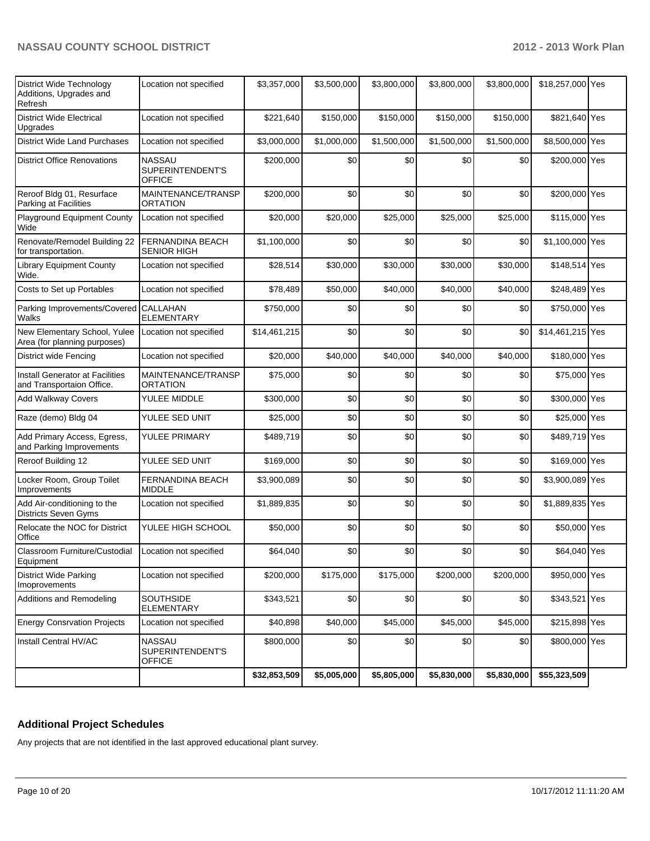| <b>District Wide Technology</b><br>Additions, Upgrades and<br>Refresh | Location not specified                             | \$3,357,000  | \$3,500,000 | \$3,800,000 | \$3,800,000 | \$3,800,000 | \$18,257,000 Yes |  |
|-----------------------------------------------------------------------|----------------------------------------------------|--------------|-------------|-------------|-------------|-------------|------------------|--|
| <b>District Wide Electrical</b><br>Upgrades                           | Location not specified                             | \$221,640    | \$150,000   | \$150,000   | \$150,000   | \$150,000   | \$821,640 Yes    |  |
| <b>District Wide Land Purchases</b>                                   | Location not specified                             | \$3,000,000  | \$1,000,000 | \$1,500,000 | \$1,500,000 | \$1,500,000 | \$8,500,000 Yes  |  |
| <b>District Office Renovations</b>                                    | <b>NASSAU</b><br>SUPERINTENDENT'S<br><b>OFFICE</b> | \$200,000    | \$0         | \$0         | \$0         | \$0         | \$200,000 Yes    |  |
| Reroof Bldg 01, Resurface<br>Parking at Facilities                    | MAINTENANCE/TRANSP<br>ORTATION                     | \$200,000    | \$0         | \$0         | \$0         | \$0         | \$200,000 Yes    |  |
| Playground Equipment County<br>Wide                                   | Location not specified                             | \$20,000     | \$20,000    | \$25,000    | \$25,000    | \$25,000    | \$115,000 Yes    |  |
| Renovate/Remodel Building 22<br>for transportation.                   | FERNANDINA BEACH<br><b>SENIOR HIGH</b>             | \$1,100,000  | \$0         | \$0         | \$0         | \$0         | \$1,100,000 Yes  |  |
| <b>Library Equipment County</b><br>Wide.                              | Location not specified                             | \$28,514     | \$30,000    | \$30,000    | \$30,000    | \$30,000    | \$148,514 Yes    |  |
| Costs to Set up Portables                                             | Location not specified                             | \$78,489     | \$50,000    | \$40,000    | \$40,000    | \$40,000    | \$248,489 Yes    |  |
| Parking Improvements/Covered CALLAHAN<br>Walks                        | <b>ELEMENTARY</b>                                  | \$750,000    | \$0         | \$0         | \$0         | \$0         | \$750,000 Yes    |  |
| New Elementary School, Yulee<br>Area (for planning purposes)          | Location not specified                             | \$14,461,215 | \$0         | \$0         | \$0         | \$0         | \$14,461,215 Yes |  |
| District wide Fencing                                                 | Location not specified                             | \$20,000     | \$40,000    | \$40,000    | \$40,000    | \$40,000    | \$180,000 Yes    |  |
| Install Generator at Facilities<br>and Transportaion Office.          | MAINTENANCE/TRANSP<br><b>ORTATION</b>              | \$75,000     | \$0         | \$0         | \$0         | \$0         | \$75,000 Yes     |  |
| Add Walkway Covers                                                    | YULEE MIDDLE                                       | \$300,000    | \$0         | \$0         | \$0         | \$0         | \$300,000 Yes    |  |
| Raze (demo) Bldg 04                                                   | YULEE SED UNIT                                     | \$25,000     | \$0         | \$0         | \$0         | \$0         | \$25,000 Yes     |  |
| Add Primary Access, Egress,<br>and Parking Improvements               | YULEE PRIMARY                                      | \$489,719    | \$0         | \$0         | \$0         | \$0         | \$489,719 Yes    |  |
| Reroof Building 12                                                    | YULEE SED UNIT                                     | \$169,000    | \$0         | \$0         | \$0         | \$0         | \$169,000 Yes    |  |
| Locker Room, Group Toilet<br>Improvements                             | FERNANDINA BEACH<br><b>MIDDLE</b>                  | \$3,900,089  | \$0         | \$0         | \$0         | \$0         | \$3,900,089 Yes  |  |
| Add Air-conditioning to the<br>Districts Seven Gyms                   | Location not specified                             | \$1,889,835  | \$0         | \$0         | \$0         | \$0         | \$1,889,835 Yes  |  |
| Relocate the NOC for District<br>Office                               | YULEE HIGH SCHOOL                                  | \$50,000     | \$0         | \$0         | \$0         | \$0         | \$50,000 Yes     |  |
| Classroom Furniture/Custodial Location not specified<br>Equipment     |                                                    | \$64,040     | \$0         | \$0         | $$0$$       | \$0         | \$64,040 Yes     |  |
| <b>District Wide Parking</b><br>Imoprovements                         | Location not specified                             | \$200,000    | \$175,000   | \$175,000   | \$200,000   | \$200,000   | \$950,000 Yes    |  |
| Additions and Remodeling                                              | SOUTHSIDE<br>ELEMENTARY                            | \$343,521    | \$0         | \$0         | \$0         | \$0         | \$343,521 Yes    |  |
| <b>Energy Consrvation Projects</b>                                    | Location not specified                             | \$40,898     | \$40,000    | \$45,000    | \$45,000    | \$45,000    | \$215,898 Yes    |  |
| Install Central HV/AC                                                 | <b>NASSAU</b><br>SUPERINTENDENT'S<br>OFFICE        | \$800,000    | \$0         | \$0         | \$0         | \$0         | \$800,000 Yes    |  |
|                                                                       |                                                    | \$32,853,509 | \$5,005,000 | \$5,805,000 | \$5,830,000 | \$5,830,000 | \$55,323,509     |  |

# **Additional Project Schedules**

Any projects that are not identified in the last approved educational plant survey.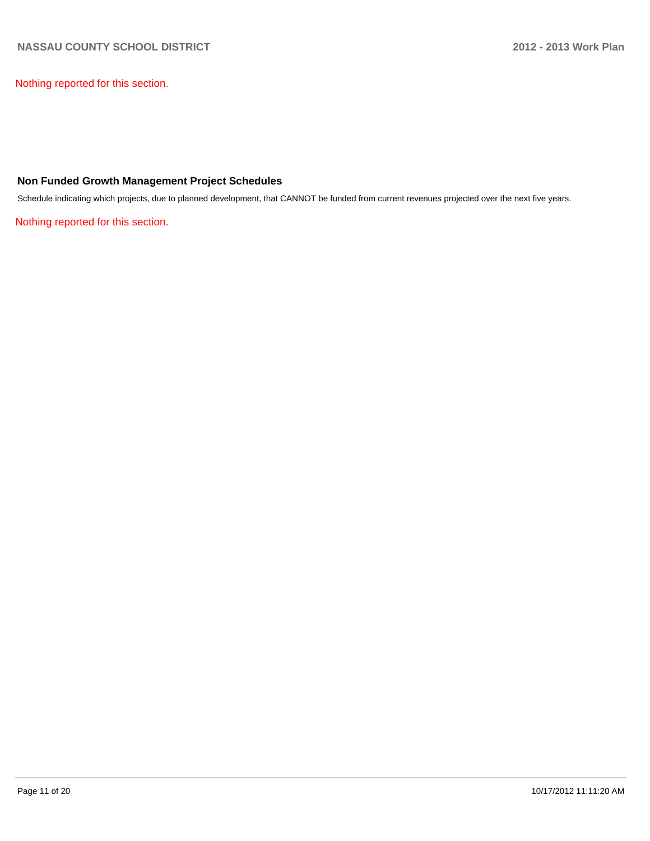Nothing reported for this section.

### **Non Funded Growth Management Project Schedules**

Schedule indicating which projects, due to planned development, that CANNOT be funded from current revenues projected over the next five years.

Nothing reported for this section.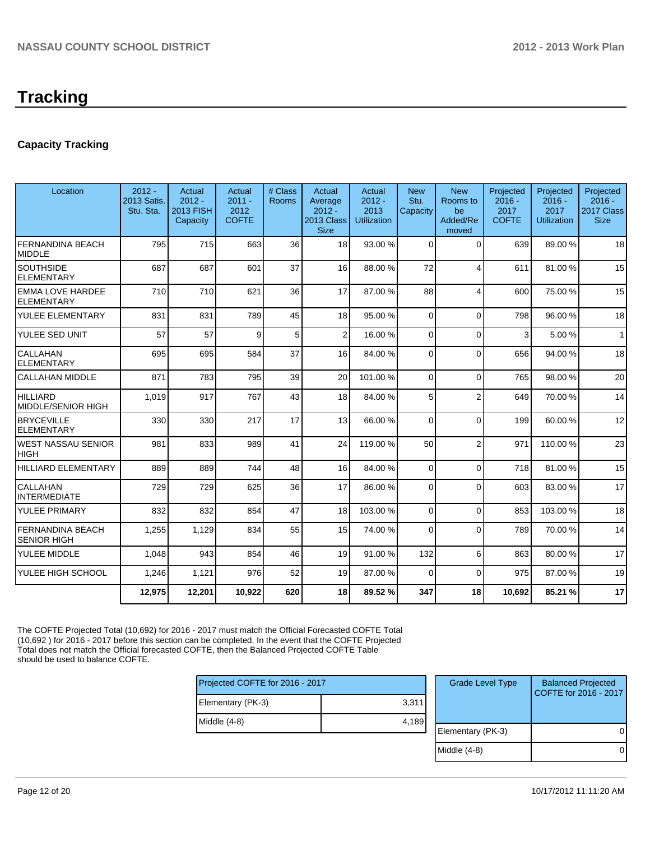# **Tracking**

# **Capacity Tracking**

| Location                                      | $2012 -$<br>2013 Satis.<br>Stu. Sta. | Actual<br>$2012 -$<br>2013 FISH<br>Capacity | Actual<br>$2011 -$<br>2012<br><b>COFTE</b> | # Class<br><b>Rooms</b> | Actual<br>Average<br>$2012 -$<br>2013 Class<br><b>Size</b> | Actual<br>$2012 -$<br>2013<br><b>Utilization</b> | <b>New</b><br>Stu.<br>Capacity | <b>New</b><br>Rooms to<br>be<br>Added/Re<br>moved | Projected<br>$2016 -$<br>2017<br><b>COFTE</b> | Projected<br>$2016 -$<br>2017<br><b>Utilization</b> | Projected<br>$2016 -$<br>2017 Class<br><b>Size</b> |
|-----------------------------------------------|--------------------------------------|---------------------------------------------|--------------------------------------------|-------------------------|------------------------------------------------------------|--------------------------------------------------|--------------------------------|---------------------------------------------------|-----------------------------------------------|-----------------------------------------------------|----------------------------------------------------|
| <b>FERNANDINA BEACH</b><br><b>MIDDLE</b>      | 795                                  | 715                                         | 663                                        | 36                      | 18                                                         | 93.00 %                                          | $\Omega$                       | $\Omega$                                          | 639                                           | 89.00 %                                             | 18                                                 |
| <b>SOUTHSIDE</b><br><b>ELEMENTARY</b>         | 687                                  | 687                                         | 601                                        | 37                      | 16                                                         | 88.00 %                                          | 72                             | 4                                                 | 611                                           | 81.00%                                              | 15                                                 |
| <b>EMMA LOVE HARDEE</b><br><b>ELEMENTARY</b>  | 710                                  | 710                                         | 621                                        | 36                      | 17                                                         | 87.00 %                                          | 88                             | $\overline{\mathbf{4}}$                           | 600                                           | 75.00 %                                             | 15                                                 |
| YULEE ELEMENTARY                              | 831                                  | 831                                         | 789                                        | 45                      | 18                                                         | 95.00 %                                          | $\Omega$                       | $\Omega$                                          | 798                                           | 96.00 %                                             | 18                                                 |
| YULEE SED UNIT                                | 57                                   | 57                                          | 9                                          | 5                       | $\overline{2}$                                             | 16.00 %                                          | $\Omega$                       | $\Omega$                                          | 3                                             | 5.00%                                               | $\mathbf{1}$                                       |
| CALLAHAN<br><b>ELEMENTARY</b>                 | 695                                  | 695                                         | 584                                        | 37                      | 16                                                         | 84.00 %                                          | $\overline{0}$                 | $\Omega$                                          | 656                                           | 94.00%                                              | 18                                                 |
| <b>CALLAHAN MIDDLE</b>                        | 871                                  | 783                                         | 795                                        | 39                      | 20                                                         | 101.00%                                          | $\overline{0}$                 | $\Omega$                                          | 765                                           | 98.00 %                                             | 20                                                 |
| <b>HILLIARD</b><br>MIDDLE/SENIOR HIGH         | 1.019                                | 917                                         | 767                                        | 43                      | 18                                                         | 84.00 %                                          | 5                              | $\overline{2}$                                    | 649                                           | 70.00%                                              | 14                                                 |
| <b>BRYCEVILLE</b><br><b>ELEMENTARY</b>        | 330                                  | 330                                         | 217                                        | 17                      | 13                                                         | 66.00 %                                          | 0                              | $\Omega$                                          | 199                                           | 60.00 %                                             | 12                                                 |
| <b>WEST NASSAU SENIOR</b><br><b>HIGH</b>      | 981                                  | 833                                         | 989                                        | 41                      | 24                                                         | 119.00 %                                         | 50                             | $\overline{2}$                                    | 971                                           | 110.00%                                             | 23                                                 |
| <b>HILLIARD ELEMENTARY</b>                    | 889                                  | 889                                         | 744                                        | 48                      | 16                                                         | 84.00 %                                          | $\Omega$                       | $\Omega$                                          | 718                                           | 81.00%                                              | 15                                                 |
| CALLAHAN<br><b>INTERMEDIATE</b>               | 729                                  | 729                                         | 625                                        | 36                      | 17                                                         | 86.00 %                                          | 0                              | $\Omega$                                          | 603                                           | 83.00 %                                             | 17                                                 |
| YULEE PRIMARY                                 | 832                                  | 832                                         | 854                                        | 47                      | 18                                                         | 103.00 %                                         | 0                              | $\Omega$                                          | 853                                           | 103.00%                                             | 18                                                 |
| <b>FERNANDINA BEACH</b><br><b>SENIOR HIGH</b> | 1,255                                | 1,129                                       | 834                                        | 55                      | 15                                                         | 74.00 %                                          | $\Omega$                       | $\Omega$                                          | 789                                           | 70.00%                                              | 14                                                 |
| YULEE MIDDLE                                  | 1.048                                | 943                                         | 854                                        | 46                      | 19                                                         | 91.00 %                                          | 132                            | 6                                                 | 863                                           | 80.00 %                                             | 17                                                 |
| YULEE HIGH SCHOOL                             | 1,246                                | 1,121                                       | 976                                        | 52                      | 19                                                         | 87.00 %                                          | $\Omega$                       | $\Omega$                                          | 975                                           | 87.00 %                                             | 19                                                 |
|                                               | 12,975                               | 12,201                                      | 10,922                                     | 620                     | 18                                                         | 89.52 %                                          | 347                            | 18                                                | 10.692                                        | 85.21 %                                             | 17                                                 |

The COFTE Projected Total (10,692) for 2016 - 2017 must match the Official Forecasted COFTE Total (10,692 ) for 2016 - 2017 before this section can be completed. In the event that the COFTE Projected Total does not match the Official forecasted COFTE, then the Balanced Projected COFTE Table should be used to balance COFTE.

| Projected COFTE for 2016 - 2017 |       |  |  |  |  |
|---------------------------------|-------|--|--|--|--|
| Elementary (PK-3)               | 3,311 |  |  |  |  |
| Middle (4-8)                    | 4,189 |  |  |  |  |
|                                 |       |  |  |  |  |

| <b>Grade Level Type</b> | <b>Balanced Projected</b><br>COFTE for 2016 - 2017 |
|-------------------------|----------------------------------------------------|
| Elementary (PK-3)       |                                                    |
| Middle $(4-8)$          |                                                    |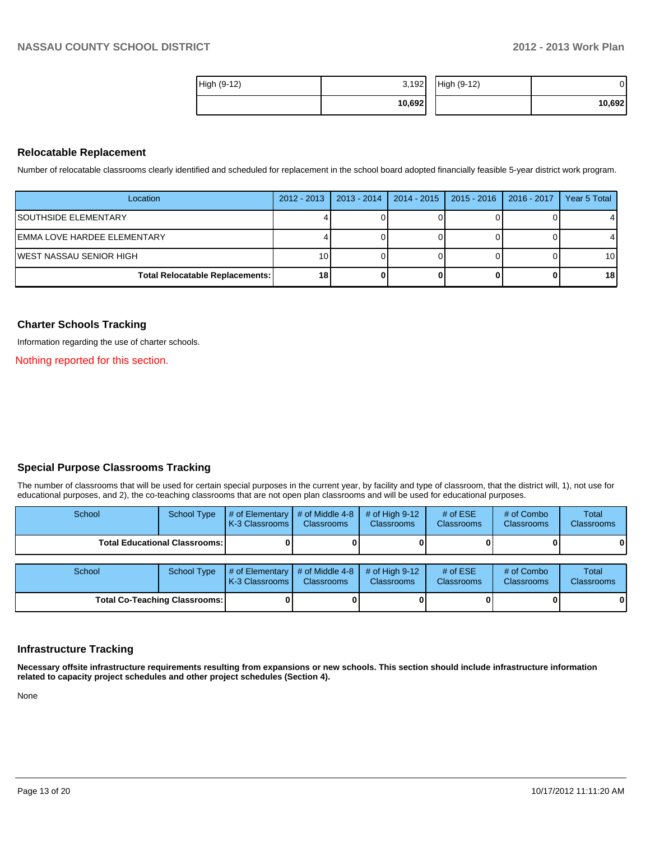| High (9-12) | 3,192  | High (9-12) | ا (    |
|-------------|--------|-------------|--------|
|             | 10,692 |             | 10,692 |

### **Relocatable Replacement**

Number of relocatable classrooms clearly identified and scheduled for replacement in the school board adopted financially feasible 5-year district work program.

| Location                               | $2012 - 2013$   | $2013 - 2014$ | 2014 - 2015   2015 - 2016   2016 - 2017 | Year 5 Total    |
|----------------------------------------|-----------------|---------------|-----------------------------------------|-----------------|
| <b>ISOUTHSIDE ELEMENTARY</b>           |                 |               |                                         |                 |
| IEMMA LOVE HARDEE ELEMENTARY           |                 |               |                                         |                 |
| IWEST NASSAU SENIOR HIGH               | 10)             |               |                                         | 10 <sup>1</sup> |
| <b>Total Relocatable Replacements:</b> | 18 <sup>1</sup> |               |                                         | 18              |

### **Charter Schools Tracking**

Information regarding the use of charter schools.

Nothing reported for this section.

### **Special Purpose Classrooms Tracking**

The number of classrooms that will be used for certain special purposes in the current year, by facility and type of classroom, that the district will, 1), not use for educational purposes, and 2), the co-teaching classrooms that are not open plan classrooms and will be used for educational purposes.

| School                               | <b>School Type</b> | # of Elementary<br>K-3 Classrooms | # of Middle 4-8<br><b>Classrooms</b> | # of High $9-12$<br><b>Classrooms</b> | # of $ESE$<br>Classrooms | # of Combo<br><b>Classrooms</b> | Total<br><b>Classrooms</b> |
|--------------------------------------|--------------------|-----------------------------------|--------------------------------------|---------------------------------------|--------------------------|---------------------------------|----------------------------|
| <b>Total Educational Classrooms:</b> |                    |                                   |                                      |                                       |                          |                                 | 0                          |
|                                      |                    |                                   |                                      |                                       |                          |                                 |                            |
| School                               | <b>School Type</b> | # of Elementary<br>K-3 Classrooms | # of Middle 4-8<br><b>Classrooms</b> | # of High $9-12$<br><b>Classrooms</b> | # of $ESE$<br>Classrooms | # of Combo<br><b>Classrooms</b> | Total<br><b>Classrooms</b> |
| <b>Total Co-Teaching Classrooms:</b> |                    |                                   |                                      |                                       |                          |                                 | 0                          |

### **Infrastructure Tracking**

**Necessary offsite infrastructure requirements resulting from expansions or new schools. This section should include infrastructure information related to capacity project schedules and other project schedules (Section 4).**

None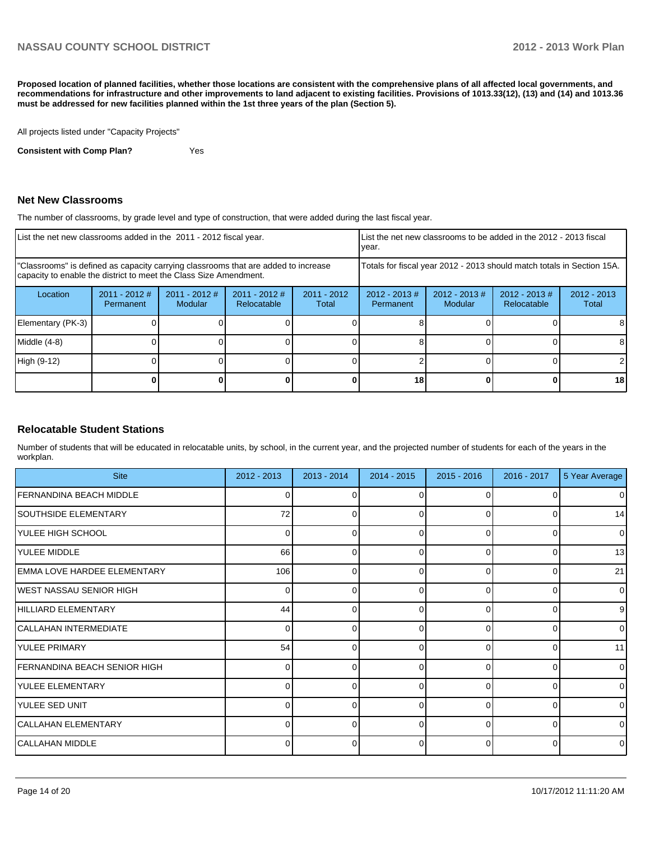**Proposed location of planned facilities, whether those locations are consistent with the comprehensive plans of all affected local governments, and recommendations for infrastructure and other improvements to land adjacent to existing facilities. Provisions of 1013.33(12), (13) and (14) and 1013.36 must be addressed for new facilities planned within the 1st three years of the plan (Section 5).**

All projects listed under "Capacity Projects"

**Consistent with Comp Plan?** Yes

### **Net New Classrooms**

The number of classrooms, by grade level and type of construction, that were added during the last fiscal year.

| List the net new classrooms added in the 2011 - 2012 fiscal year.                                                                                       |                              |                                   |                                | Ivear.                                                                 |                               | List the net new classrooms to be added in the 2012 - 2013 fiscal |                                 |                        |
|---------------------------------------------------------------------------------------------------------------------------------------------------------|------------------------------|-----------------------------------|--------------------------------|------------------------------------------------------------------------|-------------------------------|-------------------------------------------------------------------|---------------------------------|------------------------|
| "Classrooms" is defined as capacity carrying classrooms that are added to increase<br>capacity to enable the district to meet the Class Size Amendment. |                              |                                   |                                | Totals for fiscal year 2012 - 2013 should match totals in Section 15A. |                               |                                                                   |                                 |                        |
| Location                                                                                                                                                | $2011 - 2012$ #<br>Permanent | $2011 - 2012$ #<br><b>Modular</b> | $2011 - 2012$ #<br>Relocatable | $2011 - 2012$<br>Total                                                 | $2012 - 2013 \#$<br>Permanent | $2012 - 2013$ #<br>Modular                                        | $2012 - 2013 \#$<br>Relocatable | $2012 - 2013$<br>Total |
| Elementary (PK-3)                                                                                                                                       |                              |                                   |                                |                                                                        |                               |                                                                   |                                 |                        |
| $Middle (4-8)$                                                                                                                                          |                              |                                   |                                |                                                                        |                               |                                                                   |                                 |                        |
| High (9-12)                                                                                                                                             |                              |                                   |                                |                                                                        |                               |                                                                   |                                 |                        |
|                                                                                                                                                         |                              |                                   |                                |                                                                        | 18                            |                                                                   |                                 | 18                     |

### **Relocatable Student Stations**

Number of students that will be educated in relocatable units, by school, in the current year, and the projected number of students for each of the years in the workplan.

| <b>Site</b>                         | $2012 - 2013$ | 2013 - 2014 | $2014 - 2015$ | $2015 - 2016$  | $2016 - 2017$ | 5 Year Average |
|-------------------------------------|---------------|-------------|---------------|----------------|---------------|----------------|
| <b>FERNANDINA BEACH MIDDLE</b>      | ∩             |             |               |                |               | $\Omega$       |
| SOUTHSIDE ELEMENTARY                | 72            | 0           | 0             | $\overline{0}$ | 0             | 14             |
| YULEE HIGH SCHOOL                   | U             | ሰ           | ∩             | $\Omega$       | $\Omega$      | $\overline{0}$ |
| YULEE MIDDLE                        | 66            | 0           | 0             | $\Omega$       | $\Omega$      | 13             |
| <b>EMMA LOVE HARDEE ELEMENTARY</b>  | 106           | ⋂           | ∩             | $\Omega$       | <sup>0</sup>  | 21             |
| <b>IWEST NASSAU SENIOR HIGH</b>     | $\Omega$      | 0           | 0             | $\Omega$       | $\Omega$      | $\overline{0}$ |
| HILLIARD ELEMENTARY                 | 44            | U           | ∩             | $\Omega$       | $\Omega$      | 9              |
| CALLAHAN INTERMEDIATE               | $\Omega$      | 0           | 0             | $\Omega$       | $\Omega$      | $\overline{0}$ |
| <b>YULEE PRIMARY</b>                | 54            | U           | ∩             | U              | $\Omega$      | 11             |
| <b>FERNANDINA BEACH SENIOR HIGH</b> | $\Omega$      | 0           | 0             | $\Omega$       | $\Omega$      | $\overline{0}$ |
| YULEE ELEMENTARY                    |               |             | ∩             | U              | $\Omega$      | $\overline{0}$ |
| YULEE SED UNIT                      | $\Omega$      | 0           | 0             | $\Omega$       | $\Omega$      | $\overline{0}$ |
| CALLAHAN ELEMENTARY                 |               |             |               | U              | $\Omega$      | $\Omega$       |
| CALLAHAN MIDDLE                     | 0             | 0           | 0             | $\Omega$       | $\Omega$      | $\overline{0}$ |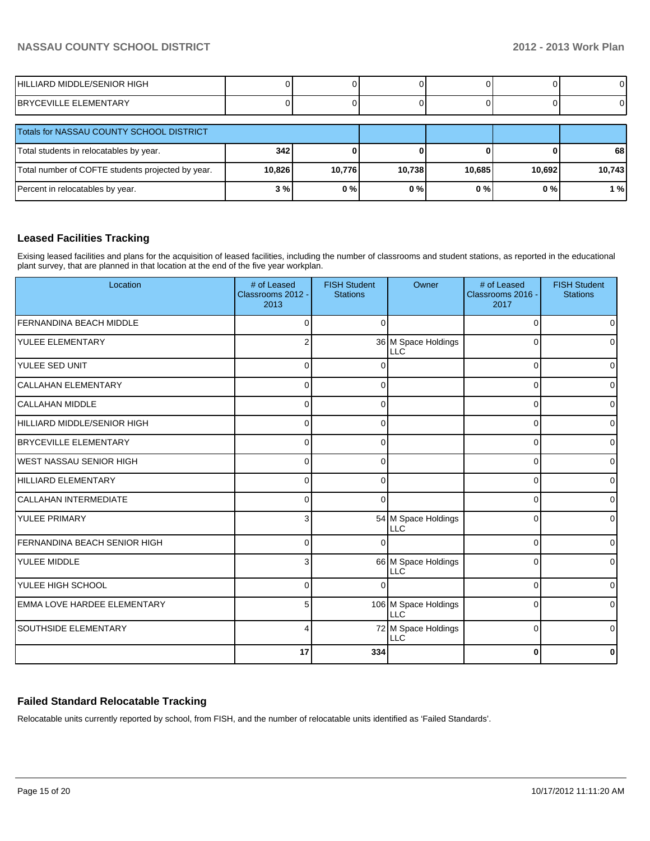| HILLIARD MIDDLE/SENIOR HIGH                  |  |  |  |
|----------------------------------------------|--|--|--|
| <b>EMENTARY</b><br>RR<br>드 디<br>=\/II<br>. . |  |  |  |

| Totals for NASSAU COUNTY SCHOOL DISTRICT          |        |        |        |        |        |        |
|---------------------------------------------------|--------|--------|--------|--------|--------|--------|
| Total students in relocatables by year.           | 342    |        |        |        |        | 68     |
| Total number of COFTE students projected by year. | 10,826 | 10,776 | 10.738 | 10,685 | 10,692 | 10,743 |
| Percent in relocatables by year.                  | 3%     | 0%     | 0%     | 0%     | $0\%$  | 1%     |

## **Leased Facilities Tracking**

Exising leased facilities and plans for the acquisition of leased facilities, including the number of classrooms and student stations, as reported in the educational plant survey, that are planned in that location at the end of the five year workplan.

| Location                           | # of Leased<br>Classrooms 2012 -<br>2013 | <b>FISH Student</b><br><b>Stations</b> | Owner                              | # of Leased<br>Classrooms 2016 -<br>2017 | <b>FISH Student</b><br><b>Stations</b> |
|------------------------------------|------------------------------------------|----------------------------------------|------------------------------------|------------------------------------------|----------------------------------------|
| <b>FERNANDINA BEACH MIDDLE</b>     | $\Omega$                                 | $\Omega$                               |                                    | $\Omega$                                 | $\Omega$                               |
| YULEE ELEMENTARY                   | 2                                        |                                        | 36 M Space Holdings<br>LLC         | $\Omega$                                 | $\Omega$                               |
| YULEE SED UNIT                     | $\Omega$                                 |                                        |                                    | $\Omega$                                 | $\overline{0}$                         |
| CALLAHAN ELEMENTARY                | $\Omega$                                 | $\Omega$                               |                                    | $\Omega$                                 | $\overline{0}$                         |
| <b>CALLAHAN MIDDLE</b>             | $\Omega$                                 | $\Omega$                               |                                    | $\Omega$                                 | $\overline{0}$                         |
| HILLIARD MIDDLE/SENIOR HIGH        | $\Omega$                                 | $\Omega$                               |                                    | $\Omega$                                 | $\overline{0}$                         |
| BRYCEVILLE ELEMENTARY              | $\Omega$                                 | $\Omega$                               |                                    | $\Omega$                                 | $\overline{0}$                         |
| <b>WEST NASSAU SENIOR HIGH</b>     | $\Omega$                                 | $\Omega$                               |                                    | 0                                        | $\overline{0}$                         |
| HILLIARD ELEMENTARY                | $\Omega$                                 | ∩                                      |                                    | $\Omega$                                 | $\overline{0}$                         |
| <b>CALLAHAN INTERMEDIATE</b>       | $\Omega$                                 | $\Omega$                               |                                    | $\Omega$                                 | $\overline{0}$                         |
| YULEE PRIMARY                      | 3                                        |                                        | 54 M Space Holdings<br><b>LLC</b>  | 0                                        | $\Omega$                               |
| FERNANDINA BEACH SENIOR HIGH       | $\Omega$                                 |                                        |                                    | $\Omega$                                 | $\overline{0}$                         |
| <b>YULEE MIDDLE</b>                | 3                                        |                                        | 66 M Space Holdings<br>ILLC        | $\Omega$                                 | $\Omega$                               |
| <b>YULEE HIGH SCHOOL</b>           | $\Omega$                                 | ∩                                      |                                    | $\Omega$                                 | $\overline{0}$                         |
| <b>EMMA LOVE HARDEE ELEMENTARY</b> | 5                                        |                                        | 106 M Space Holdings<br><b>LLC</b> | $\Omega$                                 | $\overline{0}$                         |
| <b>SOUTHSIDE ELEMENTARY</b>        | 4                                        |                                        | 72 M Space Holdings<br><b>LLC</b>  | $\mathbf 0$                              | $\overline{0}$                         |
|                                    | 17                                       | 334                                    |                                    | 0                                        | 0                                      |

# **Failed Standard Relocatable Tracking**

Relocatable units currently reported by school, from FISH, and the number of relocatable units identified as 'Failed Standards'.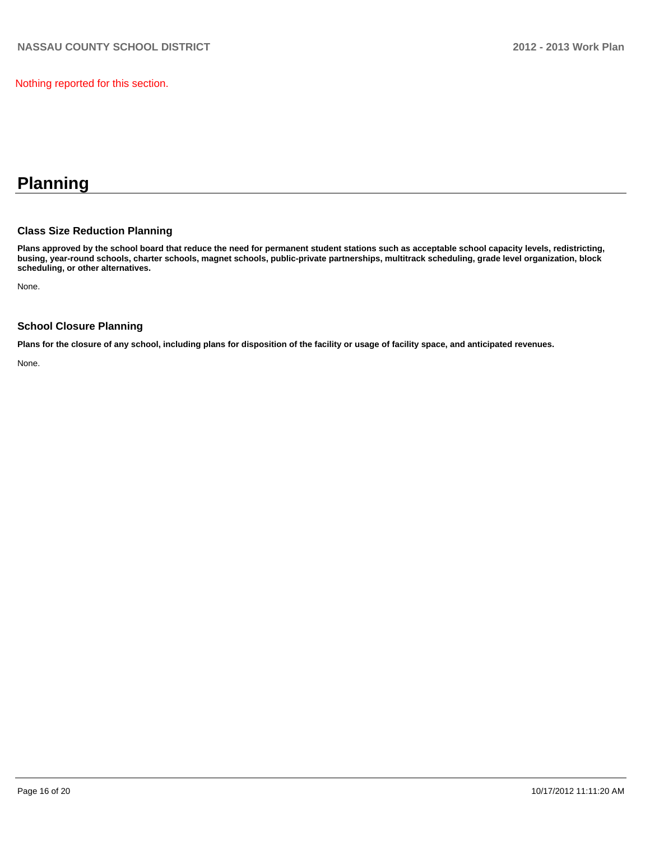Nothing reported for this section.

# **Planning**

## **Class Size Reduction Planning**

**Plans approved by the school board that reduce the need for permanent student stations such as acceptable school capacity levels, redistricting, busing, year-round schools, charter schools, magnet schools, public-private partnerships, multitrack scheduling, grade level organization, block scheduling, or other alternatives.**

None.

### **School Closure Planning**

**Plans for the closure of any school, including plans for disposition of the facility or usage of facility space, and anticipated revenues.**

None.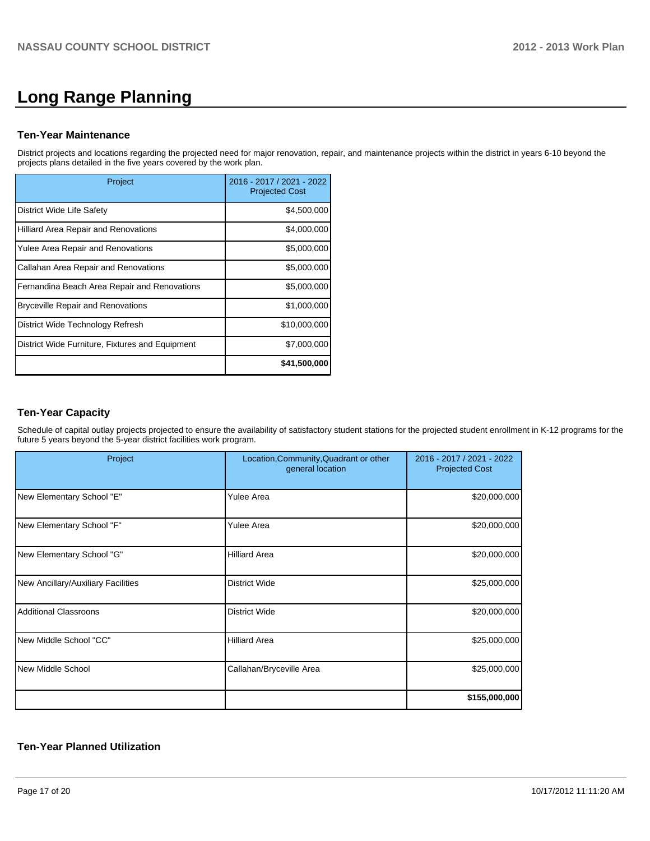# **Long Range Planning**

### **Ten-Year Maintenance**

District projects and locations regarding the projected need for major renovation, repair, and maintenance projects within the district in years 6-10 beyond the projects plans detailed in the five years covered by the work plan.

| Project                                         | 2016 - 2017 / 2021 - 2022<br><b>Projected Cost</b> |
|-------------------------------------------------|----------------------------------------------------|
| District Wide Life Safety                       | \$4,500,000                                        |
| Hilliard Area Repair and Renovations            | \$4,000,000                                        |
| Yulee Area Repair and Renovations               | \$5,000,000                                        |
| Callahan Area Repair and Renovations            | \$5,000,000                                        |
| Fernandina Beach Area Repair and Renovations    | \$5,000,000                                        |
| <b>Bryceville Repair and Renovations</b>        | \$1,000,000                                        |
| District Wide Technology Refresh                | \$10,000,000                                       |
| District Wide Furniture, Fixtures and Equipment | \$7,000,000                                        |
|                                                 | \$41,500,000                                       |

### **Ten-Year Capacity**

Schedule of capital outlay projects projected to ensure the availability of satisfactory student stations for the projected student enrollment in K-12 programs for the future 5 years beyond the 5-year district facilities work program.

| Project                            | Location, Community, Quadrant or other<br>general location | 2016 - 2017 / 2021 - 2022<br><b>Projected Cost</b> |
|------------------------------------|------------------------------------------------------------|----------------------------------------------------|
| New Elementary School "E"          | <b>Yulee Area</b>                                          | \$20,000,000                                       |
| New Elementary School "F"          | <b>Yulee Area</b>                                          | \$20,000,000                                       |
| New Elementary School "G"          | <b>Hilliard Area</b>                                       | \$20,000,000                                       |
| New Ancillary/Auxiliary Facilities | <b>District Wide</b>                                       | \$25,000,000                                       |
| <b>Additional Classroons</b>       | <b>District Wide</b>                                       | \$20,000,000                                       |
| New Middle School "CC"             | <b>Hilliard Area</b>                                       | \$25,000,000                                       |
| <b>New Middle School</b>           | Callahan/Bryceville Area                                   | \$25,000,000                                       |
|                                    |                                                            | \$155,000,000                                      |

### **Ten-Year Planned Utilization**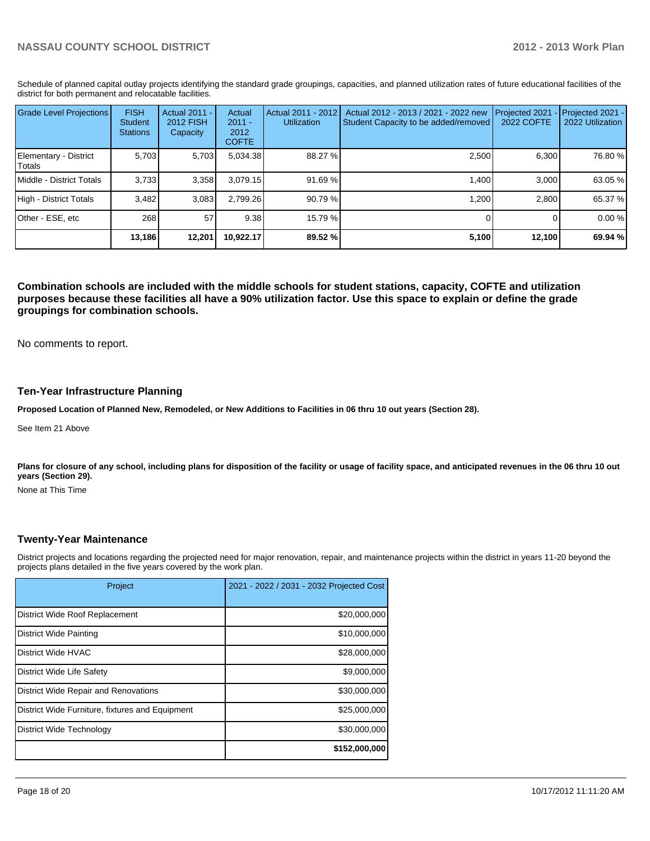Schedule of planned capital outlay projects identifying the standard grade groupings, capacities, and planned utilization rates of future educational facilities of the district for both permanent and relocatable facilities.

| <b>Grade Level Projections</b>    | <b>FISH</b><br><b>Student</b><br><b>Stations</b> | <b>Actual 2011 -</b><br><b>2012 FISH</b><br>Capacity | Actual<br>$2011 -$<br>2012<br><b>COFTE</b> | Actual 2011 - 2012<br><b>Utilization</b> | Actual 2012 - 2013 / 2021 - 2022 new<br>Student Capacity to be added/removed | Projected 2021<br><b>2022 COFTE</b> | Projected 2021 -<br>2022 Utilization |
|-----------------------------------|--------------------------------------------------|------------------------------------------------------|--------------------------------------------|------------------------------------------|------------------------------------------------------------------------------|-------------------------------------|--------------------------------------|
| Elementary - District<br>l Totals | 5,703                                            | 5,703                                                | 5,034.38                                   | 88.27 %                                  | 2,500                                                                        | 6,300                               | 76.80 %                              |
| <b>IMiddle - District Totals</b>  | 3,733                                            | 3,358                                                | 3.079.15                                   | 91.69%                                   | 1.400                                                                        | 3.000                               | 63.05 %                              |
| High - District Totals            | 3.482                                            | 3.083                                                | 2.799.26                                   | 90.79%                                   | 1.200                                                                        | 2.800                               | 65.37 %                              |
| Other - ESE, etc                  | 268                                              | 57                                                   | 9.38                                       | 15.79 %                                  |                                                                              |                                     | 0.00%                                |
|                                   | 13,186                                           | 12,201                                               | 10.922.17                                  | 89.52 %                                  | 5,100                                                                        | 12,100                              | 69.94 %                              |

**Combination schools are included with the middle schools for student stations, capacity, COFTE and utilization purposes because these facilities all have a 90% utilization factor. Use this space to explain or define the grade groupings for combination schools.**

No comments to report.

### **Ten-Year Infrastructure Planning**

**Proposed Location of Planned New, Remodeled, or New Additions to Facilities in 06 thru 10 out years (Section 28).**

See Item 21 Above

Plans for closure of any school, including plans for disposition of the facility or usage of facility space, and anticipated revenues in the 06 thru 10 out **years (Section 29).**

None at This Time

### **Twenty-Year Maintenance**

District projects and locations regarding the projected need for major renovation, repair, and maintenance projects within the district in years 11-20 beyond the projects plans detailed in the five years covered by the work plan.

| Project                                         | 2021 - 2022 / 2031 - 2032 Projected Cost |
|-------------------------------------------------|------------------------------------------|
| District Wide Roof Replacement                  | \$20,000,000                             |
| <b>District Wide Painting</b>                   | \$10,000,000                             |
| District Wide HVAC                              | \$28,000,000                             |
| District Wide Life Safety                       | \$9,000,000                              |
| District Wide Repair and Renovations            | \$30,000,000                             |
| District Wide Furniture, fixtures and Equipment | \$25,000,000                             |
| District Wide Technology                        | \$30,000,000                             |
|                                                 | \$152,000,000                            |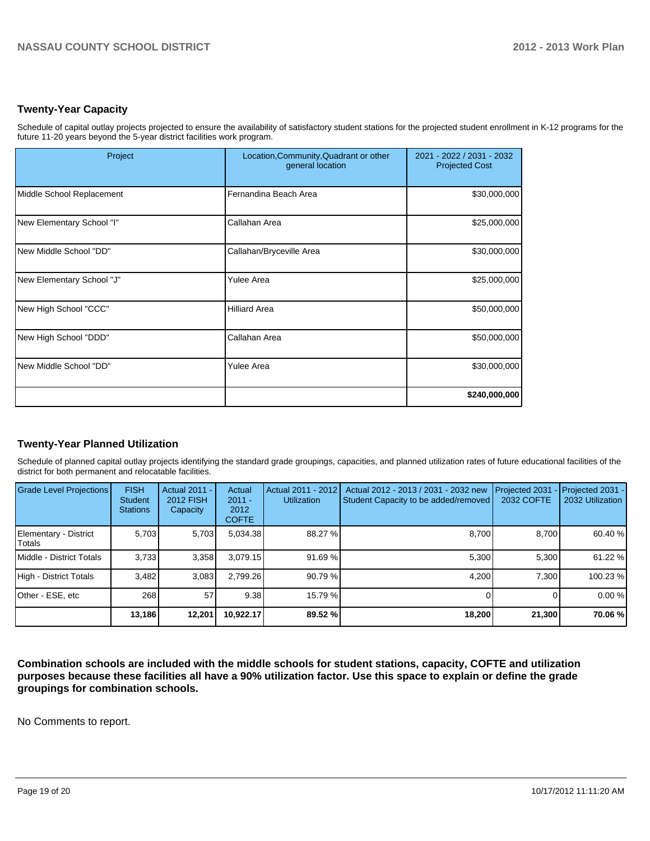## **Twenty-Year Capacity**

Schedule of capital outlay projects projected to ensure the availability of satisfactory student stations for the projected student enrollment in K-12 programs for the future 11-20 years beyond the 5-year district facilities work program.

| Project                   | Location, Community, Quadrant or other<br>general location | 2021 - 2022 / 2031 - 2032<br><b>Projected Cost</b> |
|---------------------------|------------------------------------------------------------|----------------------------------------------------|
| Middle School Replacement | Fernandina Beach Area                                      | \$30,000,000                                       |
| New Elementary School "I" | Callahan Area                                              | \$25,000,000                                       |
| New Middle School "DD"    | Callahan/Bryceville Area                                   | \$30,000,000                                       |
| New Elementary School "J" | <b>Yulee Area</b>                                          | \$25,000,000                                       |
| New High School "CCC"     | <b>Hilliard Area</b>                                       | \$50,000,000                                       |
| New High School "DDD"     | Callahan Area                                              | \$50,000,000                                       |
| New Middle School "DD"    | Yulee Area                                                 | \$30,000,000                                       |
|                           |                                                            | \$240,000,000                                      |

# **Twenty-Year Planned Utilization**

Schedule of planned capital outlay projects identifying the standard grade groupings, capacities, and planned utilization rates of future educational facilities of the district for both permanent and relocatable facilities.

| <b>Grade Level Projections</b>  | <b>FISH</b><br><b>Student</b><br><b>Stations</b> | Actual 2011 -<br><b>2012 FISH</b><br>Capacity | Actual<br>$2011 -$<br>2012<br><b>COFTE</b> | Actual 2011 - 2012<br><b>Utilization</b> | Actual 2012 - 2013 / 2031 - 2032 new<br>Student Capacity to be added/removed | Projected 2031<br>2032 COFTE | $-$ Projected 2031 -<br>2032 Utilization |
|---------------------------------|--------------------------------------------------|-----------------------------------------------|--------------------------------------------|------------------------------------------|------------------------------------------------------------------------------|------------------------------|------------------------------------------|
| Elementary - District<br>Totals | 5.703                                            | 5,703                                         | 5,034.38                                   | 88.27 %                                  | 8,700                                                                        | 8.700                        | 60.40 %                                  |
| Middle - District Totals        | 3.733                                            | 3.358                                         | 3.079.15                                   | 91.69%                                   | 5.300                                                                        | 5.300                        | 61.22 %                                  |
| High - District Totals          | 3.482                                            | 3.083                                         | 2.799.26                                   | 90.79%                                   | 4.200                                                                        | 7.300                        | 100.23 %                                 |
| Other - ESE, etc                | 268                                              | 57                                            | 9.38                                       | 15.79 %                                  |                                                                              |                              | 0.00%                                    |
|                                 | 13,186                                           | 12,201                                        | 10.922.17                                  | 89.52 %                                  | 18,200                                                                       | 21,300                       | 70.06 %                                  |

**Combination schools are included with the middle schools for student stations, capacity, COFTE and utilization purposes because these facilities all have a 90% utilization factor. Use this space to explain or define the grade groupings for combination schools.**

No Comments to report.